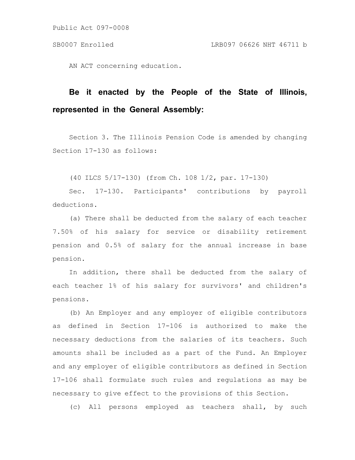Public Act 097-0008

AN ACT concerning education.

# **Be it enacted by the People of the State of Illinois, represented in the General Assembly:**

Section 3. The Illinois Pension Code is amended by changing Section 17-130 as follows:

(40 ILCS 5/17-130) (from Ch. 108 1/2, par. 17-130)

Sec. 17-130. Participants' contributions by payroll deductions.

(a) There shall be deducted from the salary of each teacher 7.50% of his salary for service or disability retirement pension and 0.5% of salary for the annual increase in base pension.

In addition, there shall be deducted from the salary of each teacher 1% of his salary for survivors' and children's pensions.

(b) An Employer and any employer of eligible contributors as defined in Section 17-106 is authorized to make the necessary deductions from the salaries of its teachers. Such amounts shall be included as a part of the Fund. An Employer and any employer of eligible contributors as defined in Section 17-106 shall formulate such rules and regulations as may be necessary to give effect to the provisions of this Section.

(c) All persons employed as teachers shall, by such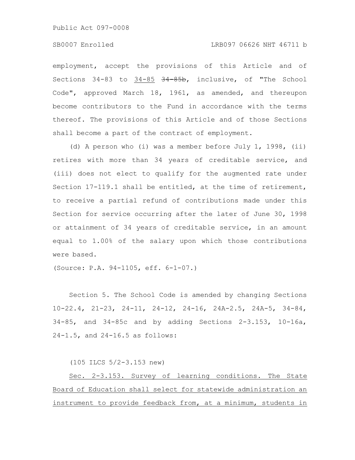Public Act 097-0008

### SB0007 Enrolled LRB097 06626 NHT 46711 b

employment, accept the provisions of this Article and of Sections 34-83 to 34-85 34-85b, inclusive, of "The School Code", approved March 18, 1961, as amended, and thereupon become contributors to the Fund in accordance with the terms thereof. The provisions of this Article and of those Sections shall become a part of the contract of employment.

(d) A person who (i) was a member before July 1, 1998, (ii) retires with more than 34 years of creditable service, and (iii) does not elect to qualify for the augmented rate under Section 17-119.1 shall be entitled, at the time of retirement, to receive a partial refund of contributions made under this Section for service occurring after the later of June 30, 1998 or attainment of 34 years of creditable service, in an amount equal to 1.00% of the salary upon which those contributions were based.

(Source: P.A. 94-1105, eff. 6-1-07.)

Section 5. The School Code is amended by changing Sections 10-22.4, 21-23, 24-11, 24-12, 24-16, 24A-2.5, 24A-5, 34-84, 34-85, and 34-85c and by adding Sections 2-3.153, 10-16a, 24-1.5, and 24-16.5 as follows:

(105 ILCS 5/2-3.153 new)

Sec. 2-3.153. Survey of learning conditions. The State Board of Education shall select for statewide administration an instrument to provide feedback from, at a minimum, students in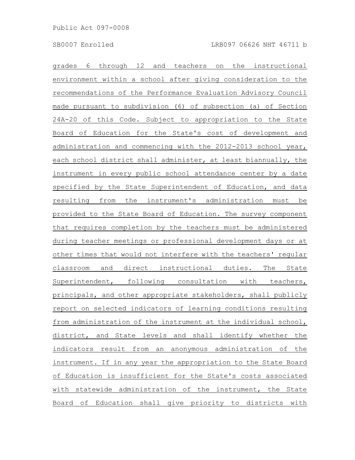grades 6 through 12 and teachers on the instructional environment within a school after giving consideration to the recommendations of the Performance Evaluation Advisory Council made pursuant to subdivision (6) of subsection (a) of Section 24A-20 of this Code. Subject to appropriation to the State Board of Education for the State's cost of development and administration and commencing with the 2012-2013 school year, each school district shall administer, at least biannually, the instrument in every public school attendance center by a date specified by the State Superintendent of Education, and data resulting from the instrument's administration must be provided to the State Board of Education. The survey component that requires completion by the teachers must be administered during teacher meetings or professional development days or at other times that would not interfere with the teachers' regular classroom and direct instructional duties. The State Superintendent, following consultation with teachers, principals, and other appropriate stakeholders, shall publicly report on selected indicators of learning conditions resulting from administration of the instrument at the individual school, district, and State levels and shall identify whether the indicators result from an anonymous administration of the instrument. If in any year the appropriation to the State Board of Education is insufficient for the State's costs associated with statewide administration of the instrument, the State Board of Education shall give priority to districts with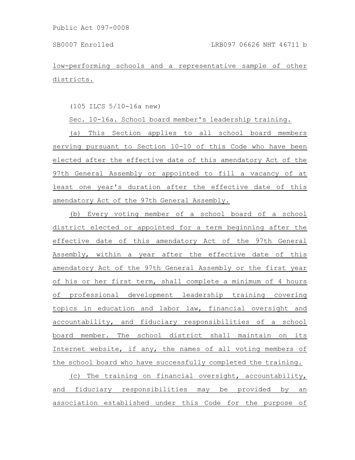low-performing schools and a representative sample of other districts.

(105 ILCS 5/10-16a new)

Sec. 10-16a. School board member's leadership training.

(a) This Section applies to all school board members serving pursuant to Section 10-10 of this Code who have been elected after the effective date of this amendatory Act of the 97th General Assembly or appointed to fill a vacancy of at least one year's duration after the effective date of this amendatory Act of the 97th General Assembly.

(b) Every voting member of a school board of a school district elected or appointed for a term beginning after the effective date of this amendatory Act of the 97th General Assembly, within a year after the effective date of this amendatory Act of the 97th General Assembly or the first year of his or her first term, shall complete a minimum of 4 hours of professional development leadership training covering topics in education and labor law, financial oversight and accountability, and fiduciary responsibilities of a school board member. The school district shall maintain on its Internet website, if any, the names of all voting members of the school board who have successfully completed the training.

(c) The training on financial oversight, accountability, and fiduciary responsibilities may be provided by an association established under this Code for the purpose of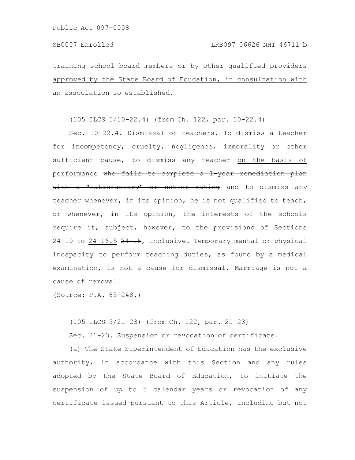training school board members or by other qualified providers approved by the State Board of Education, in consultation with an association so established.

(105 ILCS 5/10-22.4) (from Ch. 122, par. 10-22.4)

Sec. 10-22.4. Dismissal of teachers. To dismiss a teacher for incompetency, cruelty, negligence, immorality or other sufficient cause, to dismiss any teacher on the basis of performance who fails to complete a 1 year remediation plan with a "satisfactory" or better rating and to dismiss any teacher whenever, in its opinion, he is not qualified to teach, or whenever, in its opinion, the interests of the schools require it, subject, however, to the provisions of Sections  $24-10$  to  $24-16.5$   $24-15$ , inclusive. Temporary mental or physical incapacity to perform teaching duties, as found by a medical examination, is not a cause for dismissal. Marriage is not a cause of removal.

(Source: P.A. 85-248.)

(105 ILCS 5/21-23) (from Ch. 122, par. 21-23)

Sec. 21-23. Suspension or revocation of certificate.

(a) The State Superintendent of Education has the exclusive authority, in accordance with this Section and any rules adopted by the State Board of Education, to initiate the suspension of up to 5 calendar years or revocation of any certificate issued pursuant to this Article, including but not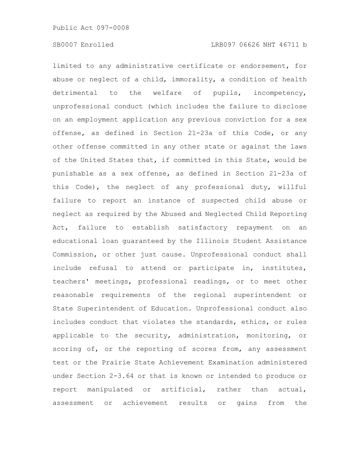limited to any administrative certificate or endorsement, for abuse or neglect of a child, immorality, a condition of health detrimental to the welfare of pupils, incompetency, unprofessional conduct (which includes the failure to disclose on an employment application any previous conviction for a sex offense, as defined in Section 21-23a of this Code, or any other offense committed in any other state or against the laws of the United States that, if committed in this State, would be punishable as a sex offense, as defined in Section 21-23a of this Code), the neglect of any professional duty, willful failure to report an instance of suspected child abuse or neglect as required by the Abused and Neglected Child Reporting Act, failure to establish satisfactory repayment on an educational loan guaranteed by the Illinois Student Assistance Commission, or other just cause. Unprofessional conduct shall include refusal to attend or participate in, institutes, teachers' meetings, professional readings, or to meet other reasonable requirements of the regional superintendent or State Superintendent of Education. Unprofessional conduct also includes conduct that violates the standards, ethics, or rules applicable to the security, administration, monitoring, or scoring of, or the reporting of scores from, any assessment test or the Prairie State Achievement Examination administered under Section 2-3.64 or that is known or intended to produce or report manipulated or artificial, rather than actual, assessment or achievement results or gains from the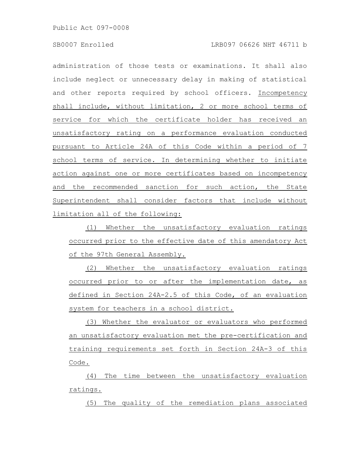administration of those tests or examinations. It shall also include neglect or unnecessary delay in making of statistical and other reports required by school officers. Incompetency shall include, without limitation, 2 or more school terms of service for which the certificate holder has received an unsatisfactory rating on a performance evaluation conducted pursuant to Article 24A of this Code within a period of 7 school terms of service. In determining whether to initiate action against one or more certificates based on incompetency and the recommended sanction for such action, the State Superintendent shall consider factors that include without limitation all of the following:

(1) Whether the unsatisfactory evaluation ratings occurred prior to the effective date of this amendatory Act of the 97th General Assembly.

(2) Whether the unsatisfactory evaluation ratings occurred prior to or after the implementation date, as defined in Section 24A-2.5 of this Code, of an evaluation system for teachers in a school district.

(3) Whether the evaluator or evaluators who performed an unsatisfactory evaluation met the pre-certification and training requirements set forth in Section 24A-3 of this Code.

(4) The time between the unsatisfactory evaluation ratings.

(5) The quality of the remediation plans associated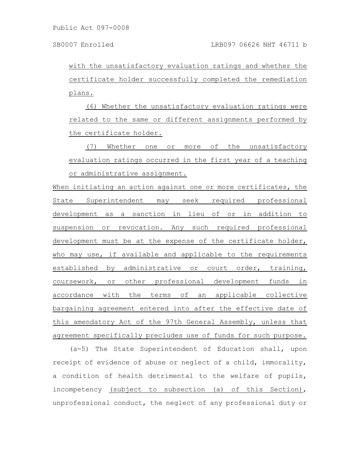with the unsatisfactory evaluation ratings and whether the certificate holder successfully completed the remediation plans.

(6) Whether the unsatisfactory evaluation ratings were related to the same or different assignments performed by the certificate holder.

(7) Whether one or more of the unsatisfactory evaluation ratings occurred in the first year of a teaching or administrative assignment.

When initiating an action against one or more certificates, the State Superintendent may seek required professional development as a sanction in lieu of or in addition to suspension or revocation. Any such required professional development must be at the expense of the certificate holder, who may use, if available and applicable to the requirements established by administrative or court order, training, coursework, or other professional development funds in accordance with the terms of an applicable collective bargaining agreement entered into after the effective date of this amendatory Act of the 97th General Assembly, unless that agreement specifically precludes use of funds for such purpose.

(a-5) The State Superintendent of Education shall, upon receipt of evidence of abuse or neglect of a child, immorality, a condition of health detrimental to the welfare of pupils, incompetency (subject to subsection (a) of this Section), unprofessional conduct, the neglect of any professional duty or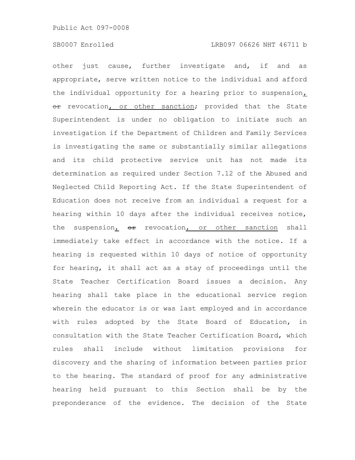other just cause, further investigate and, if and as appropriate, serve written notice to the individual and afford the individual opportunity for a hearing prior to suspension, or revocation, or other sanction; provided that the State Superintendent is under no obligation to initiate such an investigation if the Department of Children and Family Services is investigating the same or substantially similar allegations and its child protective service unit has not made its determination as required under Section 7.12 of the Abused and Neglected Child Reporting Act. If the State Superintendent of Education does not receive from an individual a request for a hearing within 10 days after the individual receives notice, the suspension, or revocation, or other sanction shall immediately take effect in accordance with the notice. If a hearing is requested within 10 days of notice of opportunity for hearing, it shall act as a stay of proceedings until the State Teacher Certification Board issues a decision. Any hearing shall take place in the educational service region wherein the educator is or was last employed and in accordance with rules adopted by the State Board of Education, in consultation with the State Teacher Certification Board, which rules shall include without limitation provisions for discovery and the sharing of information between parties prior to the hearing. The standard of proof for any administrative hearing held pursuant to this Section shall be by the preponderance of the evidence. The decision of the State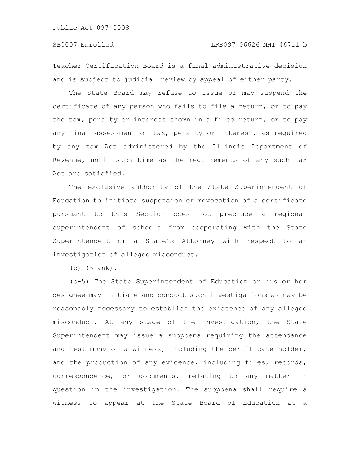## SB0007 Enrolled LRB097 06626 NHT 46711 b

Teacher Certification Board is a final administrative decision and is subject to judicial review by appeal of either party.

The State Board may refuse to issue or may suspend the certificate of any person who fails to file a return, or to pay the tax, penalty or interest shown in a filed return, or to pay any final assessment of tax, penalty or interest, as required by any tax Act administered by the Illinois Department of Revenue, until such time as the requirements of any such tax Act are satisfied.

The exclusive authority of the State Superintendent of Education to initiate suspension or revocation of a certificate pursuant to this Section does not preclude a regional superintendent of schools from cooperating with the State Superintendent or a State's Attorney with respect to an investigation of alleged misconduct.

(b) (Blank).

(b-5) The State Superintendent of Education or his or her designee may initiate and conduct such investigations as may be reasonably necessary to establish the existence of any alleged misconduct. At any stage of the investigation, the State Superintendent may issue a subpoena requiring the attendance and testimony of a witness, including the certificate holder, and the production of any evidence, including files, records, correspondence, or documents, relating to any matter in question in the investigation. The subpoena shall require a witness to appear at the State Board of Education at a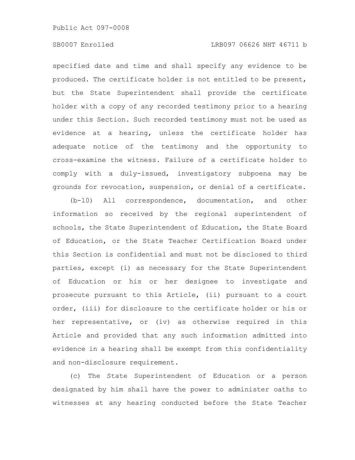specified date and time and shall specify any evidence to be produced. The certificate holder is not entitled to be present, but the State Superintendent shall provide the certificate holder with a copy of any recorded testimony prior to a hearing under this Section. Such recorded testimony must not be used as evidence at a hearing, unless the certificate holder has adequate notice of the testimony and the opportunity to cross-examine the witness. Failure of a certificate holder to comply with a duly-issued, investigatory subpoena may be grounds for revocation, suspension, or denial of a certificate.

(b-10) All correspondence, documentation, and other information so received by the regional superintendent of schools, the State Superintendent of Education, the State Board of Education, or the State Teacher Certification Board under this Section is confidential and must not be disclosed to third parties, except (i) as necessary for the State Superintendent of Education or his or her designee to investigate and prosecute pursuant to this Article, (ii) pursuant to a court order, (iii) for disclosure to the certificate holder or his or her representative, or (iv) as otherwise required in this Article and provided that any such information admitted into evidence in a hearing shall be exempt from this confidentiality and non-disclosure requirement.

(c) The State Superintendent of Education or a person designated by him shall have the power to administer oaths to witnesses at any hearing conducted before the State Teacher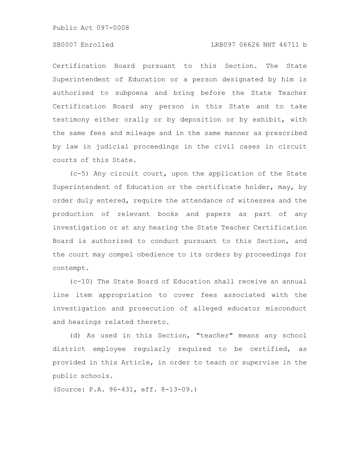Public Act 097-0008

## SB0007 Enrolled LRB097 06626 NHT 46711 b

Certification Board pursuant to this Section. The State Superintendent of Education or a person designated by him is authorized to subpoena and bring before the State Teacher Certification Board any person in this State and to take testimony either orally or by deposition or by exhibit, with the same fees and mileage and in the same manner as prescribed by law in judicial proceedings in the civil cases in circuit courts of this State.

(c-5) Any circuit court, upon the application of the State Superintendent of Education or the certificate holder, may, by order duly entered, require the attendance of witnesses and the production of relevant books and papers as part of any investigation or at any hearing the State Teacher Certification Board is authorized to conduct pursuant to this Section, and the court may compel obedience to its orders by proceedings for contempt.

(c-10) The State Board of Education shall receive an annual line item appropriation to cover fees associated with the investigation and prosecution of alleged educator misconduct and hearings related thereto.

(d) As used in this Section, "teacher" means any school district employee regularly required to be certified, as provided in this Article, in order to teach or supervise in the public schools.

(Source: P.A. 96-431, eff. 8-13-09.)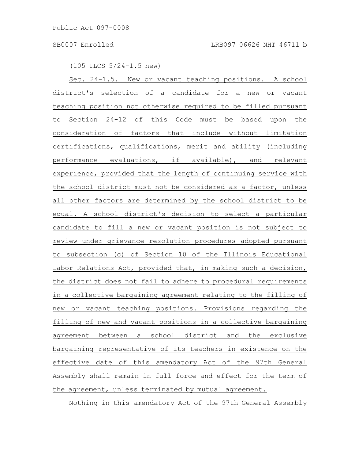(105 ILCS 5/24-1.5 new)

Sec. 24-1.5. New or vacant teaching positions. A school district's selection of a candidate for a new or vacant teaching position not otherwise required to be filled pursuant to Section 24-12 of this Code must be based upon the consideration of factors that include without limitation certifications, qualifications, merit and ability (including performance evaluations, if available), and relevant experience, provided that the length of continuing service with the school district must not be considered as a factor, unless all other factors are determined by the school district to be equal. A school district's decision to select a particular candidate to fill a new or vacant position is not subject to review under grievance resolution procedures adopted pursuant to subsection (c) of Section 10 of the Illinois Educational Labor Relations Act, provided that, in making such a decision, the district does not fail to adhere to procedural requirements in a collective bargaining agreement relating to the filling of new or vacant teaching positions. Provisions regarding the filling of new and vacant positions in a collective bargaining agreement between a school district and the exclusive bargaining representative of its teachers in existence on the effective date of this amendatory Act of the 97th General Assembly shall remain in full force and effect for the term of the agreement, unless terminated by mutual agreement.

Nothing in this amendatory Act of the 97th General Assembly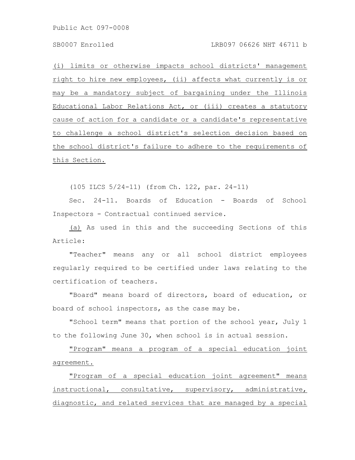(i) limits or otherwise impacts school districts' management right to hire new employees, (ii) affects what currently is or may be a mandatory subject of bargaining under the Illinois Educational Labor Relations Act, or (iii) creates a statutory cause of action for a candidate or a candidate's representative to challenge a school district's selection decision based on the school district's failure to adhere to the requirements of this Section.

(105 ILCS 5/24-11) (from Ch. 122, par. 24-11)

Sec. 24-11. Boards of Education - Boards of School Inspectors - Contractual continued service.

(a) As used in this and the succeeding Sections of this Article:

"Teacher" means any or all school district employees regularly required to be certified under laws relating to the certification of teachers.

"Board" means board of directors, board of education, or board of school inspectors, as the case may be.

"School term" means that portion of the school year, July 1 to the following June 30, when school is in actual session.

"Program" means a program of a special education joint agreement.

"Program of a special education joint agreement" means instructional, consultative, supervisory, administrative, diagnostic, and related services that are managed by a special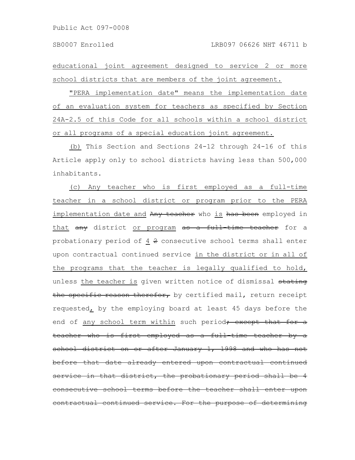educational joint agreement designed to service 2 or more school districts that are members of the joint agreement.

"PERA implementation date" means the implementation date of an evaluation system for teachers as specified by Section 24A-2.5 of this Code for all schools within a school district or all programs of a special education joint agreement.

(b) This Section and Sections 24-12 through 24-16 of this Article apply only to school districts having less than 500,000 inhabitants.

(c) Any teacher who is first employed as a full-time teacher in a school district or program prior to the PERA implementation date and Any teacher who is has been employed in that any district or program as a full-time teacher for a probationary period of 4 2 consecutive school terms shall enter upon contractual continued service in the district or in all of the programs that the teacher is legally qualified to hold, unless the teacher is given written notice of dismissal stating the specific reason therefor, by certified mail, return receipt requested, by the employing board at least 45 days before the end of any school term within such period; except that for a teacher who is first employed as a full-time teacher school district on or after January 1, 1998 and who has not before that date already entered upon contractual  $\tt{in}$  that district, the probationary period shall consecutive school terms before the teacher shall enter ntractual continued service. For the purpose of determi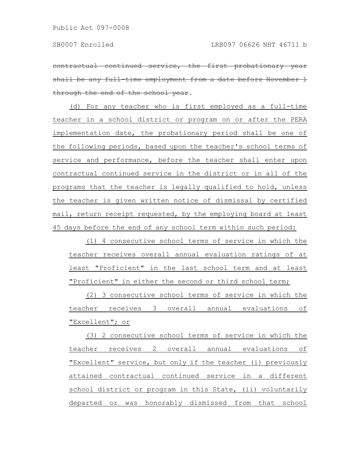contractual continued service, the first probationary shall be any full-time employment from a date before through the end of the school year.

(d) For any teacher who is first employed as a full-time teacher in a school district or program on or after the PERA implementation date, the probationary period shall be one of the following periods, based upon the teacher's school terms of service and performance, before the teacher shall enter upon contractual continued service in the district or in all of the programs that the teacher is legally qualified to hold, unless the teacher is given written notice of dismissal by certified mail, return receipt requested, by the employing board at least 45 days before the end of any school term within such period:

(1) 4 consecutive school terms of service in which the teacher receives overall annual evaluation ratings of at least "Proficient" in the last school term and at least "Proficient" in either the second or third school term;

(2) 3 consecutive school terms of service in which the teacher receives 3 overall annual evaluations of "Excellent"; or

(3) 2 consecutive school terms of service in which the teacher receives 2 overall annual evaluations of "Excellent" service, but only if the teacher (i) previously attained contractual continued service in a different school district or program in this State, (ii) voluntarily departed or was honorably dismissed from that school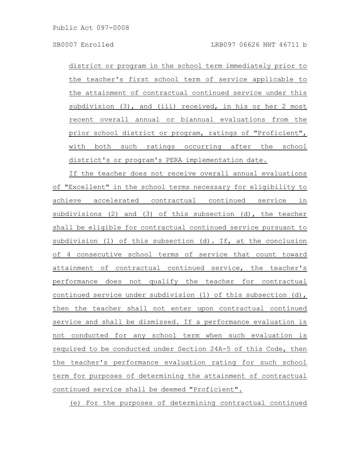district or program in the school term immediately prior to the teacher's first school term of service applicable to the attainment of contractual continued service under this subdivision (3), and (iii) received, in his or her 2 most recent overall annual or biannual evaluations from the prior school district or program, ratings of "Proficient", with both such ratings occurring after the school district's or program's PERA implementation date.

If the teacher does not receive overall annual evaluations of "Excellent" in the school terms necessary for eligibility to achieve accelerated contractual continued service in subdivisions (2) and (3) of this subsection (d), the teacher shall be eligible for contractual continued service pursuant to subdivision (1) of this subsection (d). If, at the conclusion of 4 consecutive school terms of service that count toward attainment of contractual continued service, the teacher's performance does not qualify the teacher for contractual continued service under subdivision (1) of this subsection (d), then the teacher shall not enter upon contractual continued service and shall be dismissed. If a performance evaluation is not conducted for any school term when such evaluation is required to be conducted under Section 24A-5 of this Code, then the teacher's performance evaluation rating for such school term for purposes of determining the attainment of contractual continued service shall be deemed "Proficient".

(e) For the purposes of determining contractual continued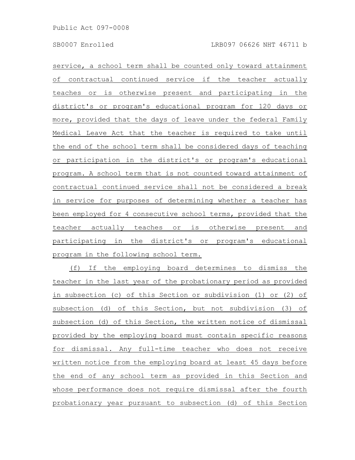service, a school term shall be counted only toward attainment of contractual continued service if the teacher actually teaches or is otherwise present and participating in the district's or program's educational program for 120 days or more, provided that the days of leave under the federal Family Medical Leave Act that the teacher is required to take until the end of the school term shall be considered days of teaching or participation in the district's or program's educational program. A school term that is not counted toward attainment of contractual continued service shall not be considered a break in service for purposes of determining whether a teacher has been employed for 4 consecutive school terms, provided that the teacher actually teaches or is otherwise present and participating in the district's or program's educational program in the following school term.

(f) If the employing board determines to dismiss the teacher in the last year of the probationary period as provided in subsection (c) of this Section or subdivision (1) or (2) of subsection (d) of this Section, but not subdivision (3) of subsection (d) of this Section, the written notice of dismissal provided by the employing board must contain specific reasons for dismissal. Any full-time teacher who does not receive written notice from the employing board at least 45 days before the end of any school term as provided in this Section and whose performance does not require dismissal after the fourth probationary year pursuant to subsection (d) of this Section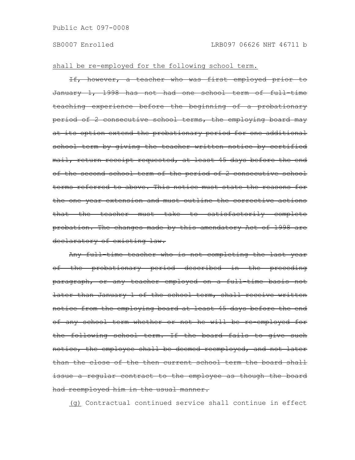shall be re-employed for the following school term.

If, however, a teacher who was first employed prior to January 1, 1998 has not had one school term of full-time teaching experience before the beginning of a probationary period of 2 consecutive school terms, the employing board may at its option extend the probationary period for one additional school term by giving the teacher written notice by certified mail, return receipt requested, at least 45 days before the end of the second school term of the period of 2 consecutive school terms referred to above. This notice must state the reasons for the one year extension and must outline the corrective actions that the teacher must take to satisfactorily complete probation. The changes made by this amendatory Act of 1998 are declaratory of existing law.

Any full-time teacher who is not completing the last year of the probationary period described in the preceding paragraph, or any teacher employed on a full time basis not later than January 1 of the school term, shall receive written notice from the employing board at least 45 days before the end of any school term whether or not he will be re-employed for the following school term. If the board fails to give such notice, the employee shall be deemed reemployed, and not later than the close of the then current school term the board shall issue a regular contract to the employee as though the board had reemployed him in the usual manner.

(g) Contractual continued service shall continue in effect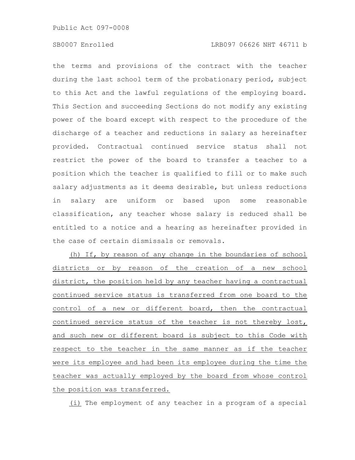# SB0007 Enrolled LRB097 06626 NHT 46711 b

the terms and provisions of the contract with the teacher during the last school term of the probationary period, subject to this Act and the lawful regulations of the employing board. This Section and succeeding Sections do not modify any existing power of the board except with respect to the procedure of the discharge of a teacher and reductions in salary as hereinafter provided. Contractual continued service status shall not restrict the power of the board to transfer a teacher to a position which the teacher is qualified to fill or to make such salary adjustments as it deems desirable, but unless reductions in salary are uniform or based upon some reasonable classification, any teacher whose salary is reduced shall be entitled to a notice and a hearing as hereinafter provided in the case of certain dismissals or removals.

(h) If, by reason of any change in the boundaries of school districts or by reason of the creation of a new school district, the position held by any teacher having a contractual continued service status is transferred from one board to the control of a new or different board, then the contractual continued service status of the teacher is not thereby lost, and such new or different board is subject to this Code with respect to the teacher in the same manner as if the teacher were its employee and had been its employee during the time the teacher was actually employed by the board from whose control the position was transferred.

(i) The employment of any teacher in a program of a special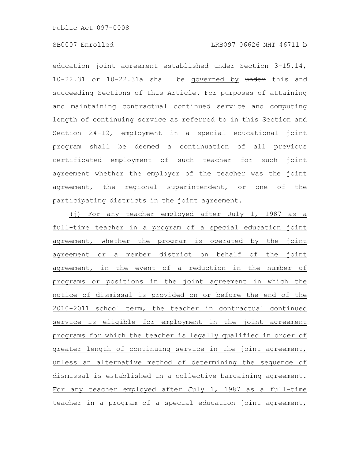Public Act 097-0008

education joint agreement established under Section 3-15.14, 10-22.31 or 10-22.31a shall be governed by under this and succeeding Sections of this Article. For purposes of attaining and maintaining contractual continued service and computing length of continuing service as referred to in this Section and Section 24-12, employment in a special educational joint program shall be deemed a continuation of all previous certificated employment of such teacher for such joint agreement whether the employer of the teacher was the joint agreement, the regional superintendent, or one of the participating districts in the joint agreement.

(j) For any teacher employed after July 1, 1987 as a full-time teacher in a program of a special education joint agreement, whether the program is operated by the joint agreement or a member district on behalf of the joint agreement, in the event of a reduction in the number of programs or positions in the joint agreement in which the notice of dismissal is provided on or before the end of the 2010-2011 school term, the teacher in contractual continued service is eligible for employment in the joint agreement programs for which the teacher is legally qualified in order of greater length of continuing service in the joint agreement, unless an alternative method of determining the sequence of dismissal is established in a collective bargaining agreement. For any teacher employed after July 1, 1987 as a full-time teacher in a program of a special education joint agreement,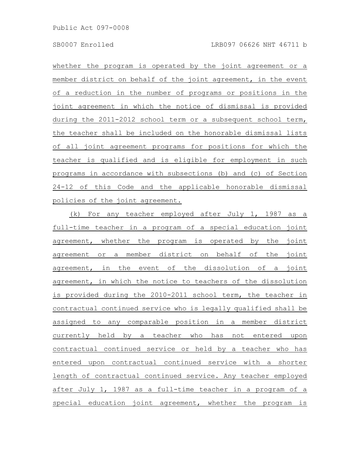whether the program is operated by the joint agreement or a member district on behalf of the joint agreement, in the event of a reduction in the number of programs or positions in the joint agreement in which the notice of dismissal is provided during the 2011-2012 school term or a subsequent school term, the teacher shall be included on the honorable dismissal lists of all joint agreement programs for positions for which the teacher is qualified and is eligible for employment in such programs in accordance with subsections (b) and (c) of Section 24-12 of this Code and the applicable honorable dismissal policies of the joint agreement.

(k) For any teacher employed after July 1, 1987 as a full-time teacher in a program of a special education joint agreement, whether the program is operated by the joint agreement or a member district on behalf of the joint agreement, in the event of the dissolution of a joint agreement, in which the notice to teachers of the dissolution is provided during the 2010-2011 school term, the teacher in contractual continued service who is legally qualified shall be assigned to any comparable position in a member district currently held by a teacher who has not entered upon contractual continued service or held by a teacher who has entered upon contractual continued service with a shorter length of contractual continued service. Any teacher employed after July 1, 1987 as a full-time teacher in a program of a special education joint agreement, whether the program is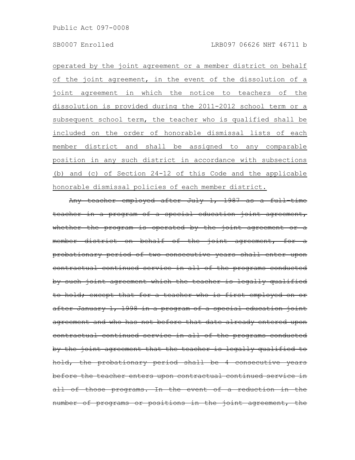operated by the joint agreement or a member district on behalf of the joint agreement, in the event of the dissolution of a joint agreement in which the notice to teachers of the dissolution is provided during the 2011-2012 school term or a subsequent school term, the teacher who is qualified shall be included on the order of honorable dismissal lists of each member district and shall be assigned to any comparable position in any such district in accordance with subsections (b) and (c) of Section 24-12 of this Code and the applicable honorable dismissal policies of each member district.

Any teacher employed after July 1, 1987 as a full-time teacher in a program of a special education joint agreement, whether the program is operated by the joint agreement member district on behalf of the joint agreement, for probationary period of two consecutive years shall enter contractual continued service in all of the programs by such joint agreement which the teacher is legally qualified to hold; except that for a teacher who is first employed after January 1, 1998 in a program of a special education joint agreement and who has not before that date already entered contractual continued service in all of the programs by the joint agreement that the teacher is legally qualified hold, the probationary period shall be 4 consecutive before the teacher enters upon contractual continued service all of those programs. In the event of a reduction number of programs or positions in the joint agreement,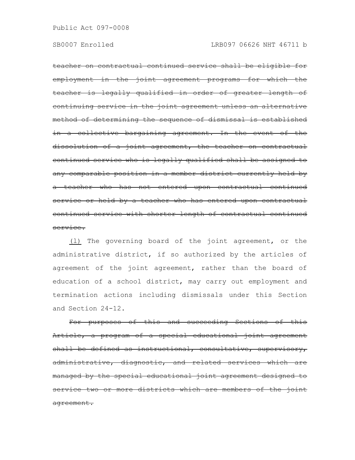teacher on contractual continued service shall be eligible for employment in the joint agreement programs for which the teacher is legally qualified in order of greater length of continuing service in the joint agreement unless an alternat method of determining the sequence of dismissal is established in a collective bargaining agreement. In the event of the dissolution of a joint agreement, the teacher on contractual continued service who is legally qualified shall be assigned to any comparable position in a member district currently held by a teacher who has not entered upon contractual continued service or held by a teacher who has entered upon contractual continued service with shorter length of contractual continued service.

(l) The governing board of the joint agreement, or the administrative district, if so authorized by the articles of agreement of the joint agreement, rather than the board of education of a school district, may carry out employment and termination actions including dismissals under this Section and Section 24-12.

For purposes of this and succeeding Sections of this Article, a program of a special educational joint agreement shall be defined as instructional, consultative, supervisory, administrative, diagnostic, and related services which managed by the special educational joint agreement designed to service two or more districts which are members of the joint agreement.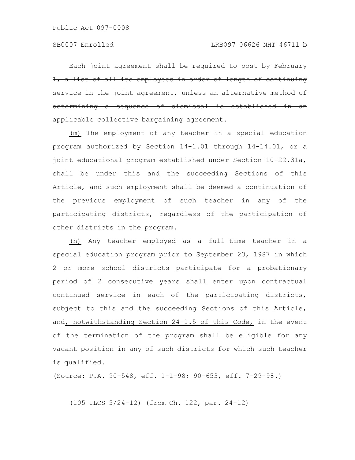Each joint agreement shall be required to post by February a list of all its employees in order of length of continuing rvice in the joint agreement, unless an alternat termining a sequence of dismissal applicable collective bargaining agreement.

(m) The employment of any teacher in a special education program authorized by Section 14-1.01 through 14-14.01, or a joint educational program established under Section 10-22.31a, shall be under this and the succeeding Sections of this Article, and such employment shall be deemed a continuation of the previous employment of such teacher in any of the participating districts, regardless of the participation of other districts in the program.

(n) Any teacher employed as a full-time teacher in a special education program prior to September 23, 1987 in which 2 or more school districts participate for a probationary period of 2 consecutive years shall enter upon contractual continued service in each of the participating districts, subject to this and the succeeding Sections of this Article, and, notwithstanding Section 24-1.5 of this Code, in the event of the termination of the program shall be eligible for any vacant position in any of such districts for which such teacher is qualified.

(Source: P.A. 90-548, eff. 1-1-98; 90-653, eff. 7-29-98.)

(105 ILCS 5/24-12) (from Ch. 122, par. 24-12)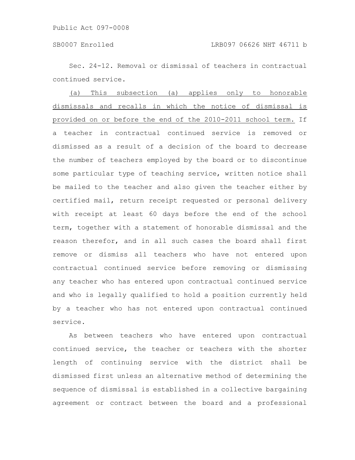Sec. 24-12. Removal or dismissal of teachers in contractual continued service.

(a) This subsection (a) applies only to honorable dismissals and recalls in which the notice of dismissal is provided on or before the end of the 2010-2011 school term. If a teacher in contractual continued service is removed or dismissed as a result of a decision of the board to decrease the number of teachers employed by the board or to discontinue some particular type of teaching service, written notice shall be mailed to the teacher and also given the teacher either by certified mail, return receipt requested or personal delivery with receipt at least 60 days before the end of the school term, together with a statement of honorable dismissal and the reason therefor, and in all such cases the board shall first remove or dismiss all teachers who have not entered upon contractual continued service before removing or dismissing any teacher who has entered upon contractual continued service and who is legally qualified to hold a position currently held by a teacher who has not entered upon contractual continued service.

As between teachers who have entered upon contractual continued service, the teacher or teachers with the shorter length of continuing service with the district shall be dismissed first unless an alternative method of determining the sequence of dismissal is established in a collective bargaining agreement or contract between the board and a professional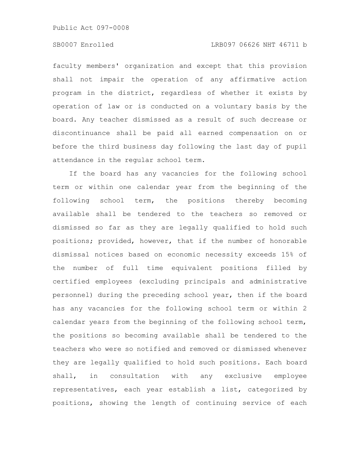Public Act 097-0008

# SB0007 Enrolled LRB097 06626 NHT 46711 b

faculty members' organization and except that this provision shall not impair the operation of any affirmative action program in the district, regardless of whether it exists by operation of law or is conducted on a voluntary basis by the board. Any teacher dismissed as a result of such decrease or discontinuance shall be paid all earned compensation on or before the third business day following the last day of pupil attendance in the regular school term.

If the board has any vacancies for the following school term or within one calendar year from the beginning of the following school term, the positions thereby becoming available shall be tendered to the teachers so removed or dismissed so far as they are legally qualified to hold such positions; provided, however, that if the number of honorable dismissal notices based on economic necessity exceeds 15% of the number of full time equivalent positions filled by certified employees (excluding principals and administrative personnel) during the preceding school year, then if the board has any vacancies for the following school term or within 2 calendar years from the beginning of the following school term, the positions so becoming available shall be tendered to the teachers who were so notified and removed or dismissed whenever they are legally qualified to hold such positions. Each board shall, in consultation with any exclusive employee representatives, each year establish a list, categorized by positions, showing the length of continuing service of each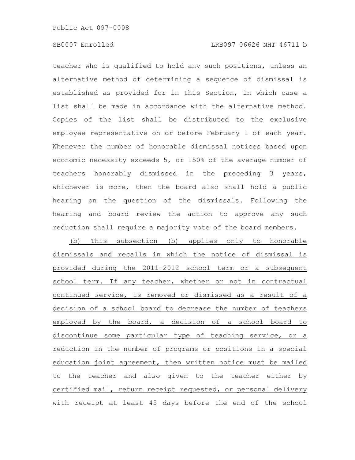teacher who is qualified to hold any such positions, unless an alternative method of determining a sequence of dismissal is established as provided for in this Section, in which case a list shall be made in accordance with the alternative method. Copies of the list shall be distributed to the exclusive employee representative on or before February 1 of each year. Whenever the number of honorable dismissal notices based upon economic necessity exceeds 5, or 150% of the average number of teachers honorably dismissed in the preceding 3 years, whichever is more, then the board also shall hold a public hearing on the question of the dismissals. Following the hearing and board review the action to approve any such reduction shall require a majority vote of the board members.

(b) This subsection (b) applies only to honorable dismissals and recalls in which the notice of dismissal is provided during the 2011-2012 school term or a subsequent school term. If any teacher, whether or not in contractual continued service, is removed or dismissed as a result of a decision of a school board to decrease the number of teachers employed by the board, a decision of a school board to discontinue some particular type of teaching service, or a reduction in the number of programs or positions in a special education joint agreement, then written notice must be mailed to the teacher and also given to the teacher either by certified mail, return receipt requested, or personal delivery with receipt at least 45 days before the end of the school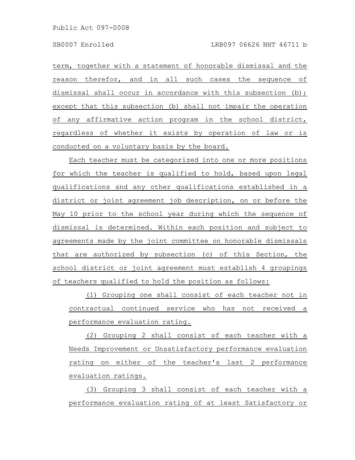term, together with a statement of honorable dismissal and the reason therefor, and in all such cases the sequence of dismissal shall occur in accordance with this subsection (b); except that this subsection (b) shall not impair the operation of any affirmative action program in the school district, regardless of whether it exists by operation of law or is conducted on a voluntary basis by the board.

Each teacher must be categorized into one or more positions for which the teacher is qualified to hold, based upon legal qualifications and any other qualifications established in a district or joint agreement job description, on or before the May 10 prior to the school year during which the sequence of dismissal is determined. Within each position and subject to agreements made by the joint committee on honorable dismissals that are authorized by subsection (c) of this Section, the school district or joint agreement must establish 4 groupings of teachers qualified to hold the position as follows:

(1) Grouping one shall consist of each teacher not in contractual continued service who has not received a performance evaluation rating.

(2) Grouping 2 shall consist of each teacher with a Needs Improvement or Unsatisfactory performance evaluation rating on either of the teacher's last 2 performance evaluation ratings.

(3) Grouping 3 shall consist of each teacher with a performance evaluation rating of at least Satisfactory or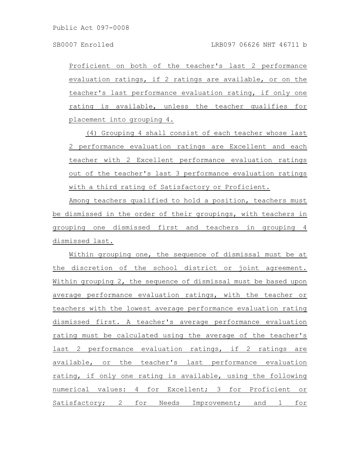Proficient on both of the teacher's last 2 performance evaluation ratings, if 2 ratings are available, or on the teacher's last performance evaluation rating, if only one rating is available, unless the teacher qualifies for placement into grouping 4.

(4) Grouping 4 shall consist of each teacher whose last 2 performance evaluation ratings are Excellent and each teacher with 2 Excellent performance evaluation ratings out of the teacher's last 3 performance evaluation ratings with a third rating of Satisfactory or Proficient.

Among teachers qualified to hold a position, teachers must be dismissed in the order of their groupings, with teachers in grouping one dismissed first and teachers in grouping 4 dismissed last.

Within grouping one, the sequence of dismissal must be at the discretion of the school district or joint agreement. Within grouping 2, the sequence of dismissal must be based upon average performance evaluation ratings, with the teacher or teachers with the lowest average performance evaluation rating dismissed first. A teacher's average performance evaluation rating must be calculated using the average of the teacher's last 2 performance evaluation ratings, if 2 ratings are available, or the teacher's last performance evaluation rating, if only one rating is available, using the following numerical values: 4 for Excellent; 3 for Proficient or Satisfactory; 2 for Needs Improvement; and 1 for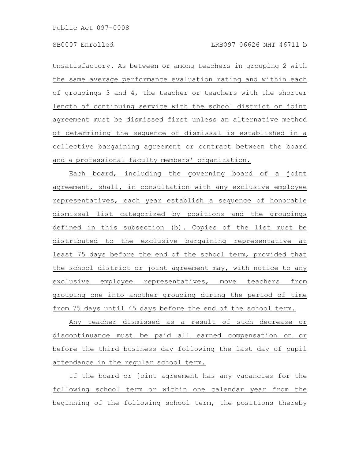Unsatisfactory. As between or among teachers in grouping 2 with the same average performance evaluation rating and within each of groupings 3 and 4, the teacher or teachers with the shorter length of continuing service with the school district or joint agreement must be dismissed first unless an alternative method of determining the sequence of dismissal is established in a collective bargaining agreement or contract between the board and a professional faculty members' organization.

Each board, including the governing board of a joint agreement, shall, in consultation with any exclusive employee representatives, each year establish a sequence of honorable dismissal list categorized by positions and the groupings defined in this subsection (b). Copies of the list must be distributed to the exclusive bargaining representative at least 75 days before the end of the school term, provided that the school district or joint agreement may, with notice to any exclusive employee representatives, move teachers from grouping one into another grouping during the period of time from 75 days until 45 days before the end of the school term.

Any teacher dismissed as a result of such decrease or discontinuance must be paid all earned compensation on or before the third business day following the last day of pupil attendance in the regular school term.

If the board or joint agreement has any vacancies for the following school term or within one calendar year from the beginning of the following school term, the positions thereby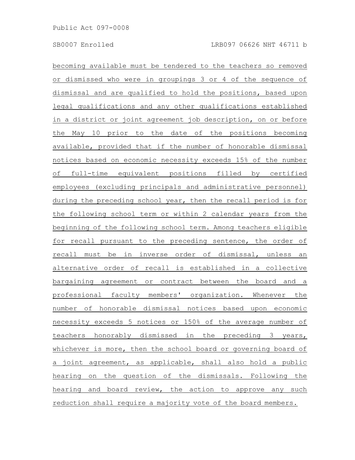becoming available must be tendered to the teachers so removed or dismissed who were in groupings 3 or 4 of the sequence of dismissal and are qualified to hold the positions, based upon legal qualifications and any other qualifications established in a district or joint agreement job description, on or before the May 10 prior to the date of the positions becoming available, provided that if the number of honorable dismissal notices based on economic necessity exceeds 15% of the number of full-time equivalent positions filled by certified employees (excluding principals and administrative personnel) during the preceding school year, then the recall period is for the following school term or within 2 calendar years from the beginning of the following school term. Among teachers eligible for recall pursuant to the preceding sentence, the order of recall must be in inverse order of dismissal, unless an alternative order of recall is established in a collective bargaining agreement or contract between the board and a professional faculty members' organization. Whenever the number of honorable dismissal notices based upon economic necessity exceeds 5 notices or 150% of the average number of teachers honorably dismissed in the preceding 3 years, whichever is more, then the school board or governing board of a joint agreement, as applicable, shall also hold a public hearing on the question of the dismissals. Following the hearing and board review, the action to approve any such reduction shall require a majority vote of the board members.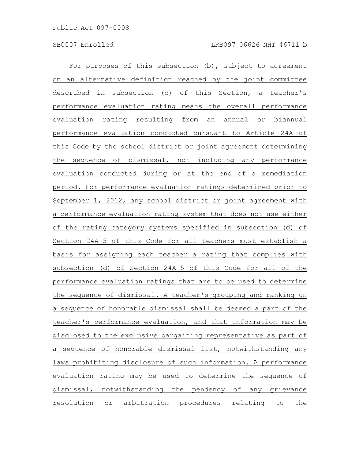For purposes of this subsection (b), subject to agreement on an alternative definition reached by the joint committee described in subsection (c) of this Section, a teacher's performance evaluation rating means the overall performance evaluation rating resulting from an annual or biannual performance evaluation conducted pursuant to Article 24A of this Code by the school district or joint agreement determining the sequence of dismissal, not including any performance evaluation conducted during or at the end of a remediation period. For performance evaluation ratings determined prior to September 1, 2012, any school district or joint agreement with a performance evaluation rating system that does not use either of the rating category systems specified in subsection (d) of Section 24A-5 of this Code for all teachers must establish a basis for assigning each teacher a rating that complies with subsection (d) of Section 24A-5 of this Code for all of the performance evaluation ratings that are to be used to determine the sequence of dismissal. A teacher's grouping and ranking on a sequence of honorable dismissal shall be deemed a part of the teacher's performance evaluation, and that information may be disclosed to the exclusive bargaining representative as part of a sequence of honorable dismissal list, notwithstanding any laws prohibiting disclosure of such information. A performance evaluation rating may be used to determine the sequence of dismissal, notwithstanding the pendency of any grievance resolution or arbitration procedures relating to the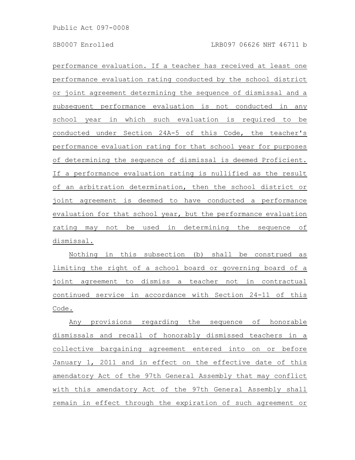performance evaluation. If a teacher has received at least one performance evaluation rating conducted by the school district or joint agreement determining the sequence of dismissal and a subsequent performance evaluation is not conducted in any school year in which such evaluation is required to be conducted under Section 24A-5 of this Code, the teacher's performance evaluation rating for that school year for purposes of determining the sequence of dismissal is deemed Proficient. If a performance evaluation rating is nullified as the result of an arbitration determination, then the school district or joint agreement is deemed to have conducted a performance evaluation for that school year, but the performance evaluation rating may not be used in determining the sequence of dismissal.

Nothing in this subsection (b) shall be construed as limiting the right of a school board or governing board of a joint agreement to dismiss a teacher not in contractual continued service in accordance with Section 24-11 of this Code.

Any provisions regarding the sequence of honorable dismissals and recall of honorably dismissed teachers in a collective bargaining agreement entered into on or before January 1, 2011 and in effect on the effective date of this amendatory Act of the 97th General Assembly that may conflict with this amendatory Act of the 97th General Assembly shall remain in effect through the expiration of such agreement or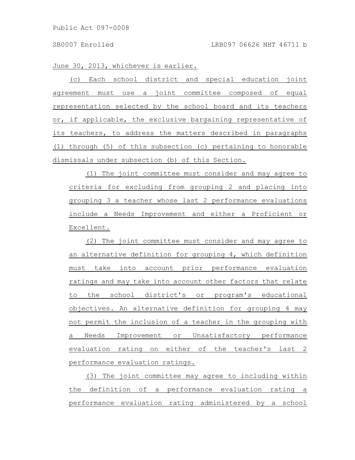June 30, 2013, whichever is earlier.

(c) Each school district and special education joint agreement must use a joint committee composed of equal representation selected by the school board and its teachers or, if applicable, the exclusive bargaining representative of its teachers, to address the matters described in paragraphs (1) through (5) of this subsection (c) pertaining to honorable dismissals under subsection (b) of this Section.

(1) The joint committee must consider and may agree to criteria for excluding from grouping 2 and placing into grouping 3 a teacher whose last 2 performance evaluations include a Needs Improvement and either a Proficient or Excellent.

(2) The joint committee must consider and may agree to an alternative definition for grouping 4, which definition must take into account prior performance evaluation ratings and may take into account other factors that relate to the school district's or program's educational objectives. An alternative definition for grouping 4 may not permit the inclusion of a teacher in the grouping with a Needs Improvement or Unsatisfactory performance evaluation rating on either of the teacher's last 2 performance evaluation ratings.

(3) The joint committee may agree to including within the definition of a performance evaluation rating a performance evaluation rating administered by a school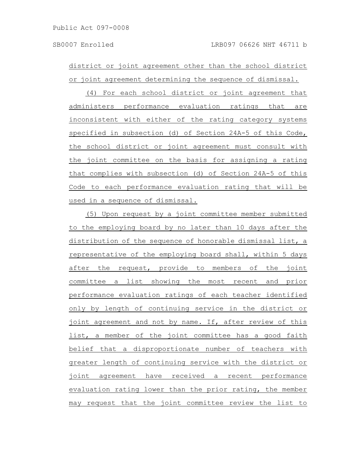district or joint agreement other than the school district or joint agreement determining the sequence of dismissal.

(4) For each school district or joint agreement that administers performance evaluation ratings that are inconsistent with either of the rating category systems specified in subsection (d) of Section 24A-5 of this Code, the school district or joint agreement must consult with the joint committee on the basis for assigning a rating that complies with subsection (d) of Section 24A-5 of this Code to each performance evaluation rating that will be used in a sequence of dismissal.

(5) Upon request by a joint committee member submitted to the employing board by no later than 10 days after the distribution of the sequence of honorable dismissal list, a representative of the employing board shall, within 5 days after the request, provide to members of the joint committee a list showing the most recent and prior performance evaluation ratings of each teacher identified only by length of continuing service in the district or joint agreement and not by name. If, after review of this list, a member of the joint committee has a good faith belief that a disproportionate number of teachers with greater length of continuing service with the district or joint agreement have received a recent performance evaluation rating lower than the prior rating, the member may request that the joint committee review the list to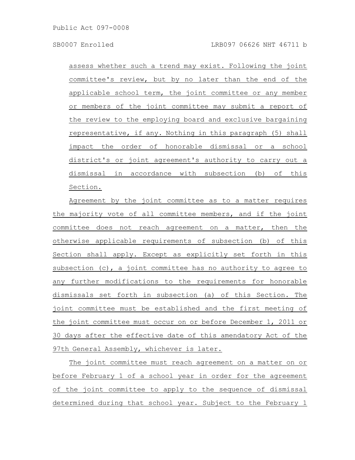assess whether such a trend may exist. Following the joint committee's review, but by no later than the end of the applicable school term, the joint committee or any member or members of the joint committee may submit a report of the review to the employing board and exclusive bargaining representative, if any. Nothing in this paragraph (5) shall impact the order of honorable dismissal or a school district's or joint agreement's authority to carry out a dismissal in accordance with subsection (b) of this Section.

Agreement by the joint committee as to a matter requires the majority vote of all committee members, and if the joint committee does not reach agreement on a matter, then the otherwise applicable requirements of subsection (b) of this Section shall apply. Except as explicitly set forth in this subsection  $(c)$ , a joint committee has no authority to agree to any further modifications to the requirements for honorable dismissals set forth in subsection (a) of this Section. The joint committee must be established and the first meeting of the joint committee must occur on or before December 1, 2011 or 30 days after the effective date of this amendatory Act of the 97th General Assembly, whichever is later.

The joint committee must reach agreement on a matter on or before February 1 of a school year in order for the agreement of the joint committee to apply to the sequence of dismissal determined during that school year. Subject to the February 1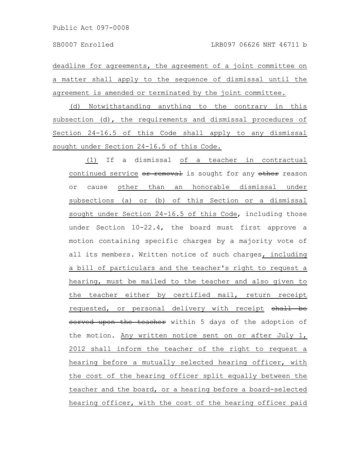deadline for agreements, the agreement of a joint committee on a matter shall apply to the sequence of dismissal until the agreement is amended or terminated by the joint committee.

(d) Notwithstanding anything to the contrary in this subsection (d), the requirements and dismissal procedures of Section 24-16.5 of this Code shall apply to any dismissal sought under Section 24-16.5 of this Code.

(1) If a dismissal of a teacher in contractual continued service or removal is sought for any other reason or cause other than an honorable dismissal under subsections (a) or (b) of this Section or a dismissal sought under Section 24-16.5 of this Code, including those under Section 10-22.4, the board must first approve a motion containing specific charges by a majority vote of all its members. Written notice of such charges, including a bill of particulars and the teacher's right to request a hearing, must be mailed to the teacher and also given to the teacher either by certified mail, return receipt requested, or personal delivery with receipt shall be served upon the teacher within 5 days of the adoption of the motion. Any written notice sent on or after July 1, 2012 shall inform the teacher of the right to request a hearing before a mutually selected hearing officer, with the cost of the hearing officer split equally between the teacher and the board, or a hearing before a board-selected hearing officer, with the cost of the hearing officer paid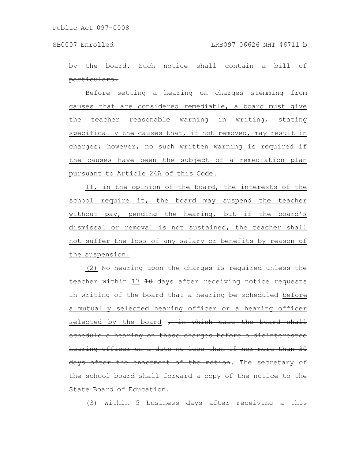by the board. Such notice shall particulars.

Before setting a hearing on charges stemming from causes that are considered remediable, a board must give the teacher reasonable warning in writing, stating specifically the causes that, if not removed, may result in charges; however, no such written warning is required if the causes have been the subject of a remediation plan pursuant to Article 24A of this Code.

If, in the opinion of the board, the interests of the school require it, the board may suspend the teacher without pay, pending the hearing, but if the board's dismissal or removal is not sustained, the teacher shall not suffer the loss of any salary or benefits by reason of the suspension.

(2) No hearing upon the charges is required unless the teacher within 17  $\pm$ 0 days after receiving notice requests in writing of the board that a hearing be scheduled before a mutually selected hearing officer or a hearing officer selected by the board  $r$  in which case the board shall schedule a hearing on those charges before a disinterested hearing officer on a date no less than 15 nor more than 30 days after the enactment of the motion. The secretary of the school board shall forward a copy of the notice to the State Board of Education.

(3) Within 5 business days after receiving a this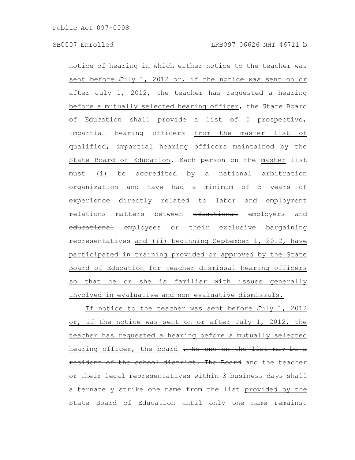notice of hearing in which either notice to the teacher was sent before July 1, 2012 or, if the notice was sent on or after July 1, 2012, the teacher has requested a hearing before a mutually selected hearing officer, the State Board of Education shall provide a list of 5 prospective, impartial hearing officers from the master list of qualified, impartial hearing officers maintained by the State Board of Education. Each person on the master list must (i) be accredited by a national arbitration organization and have had a minimum of 5 years of experience directly related to labor and employment relations matters between educational employers and educational employees or their exclusive bargaining representatives and (ii) beginning September 1, 2012, have participated in training provided or approved by the State Board of Education for teacher dismissal hearing officers so that he or she is familiar with issues generally involved in evaluative and non-evaluative dismissals.

If notice to the teacher was sent before July 1, 2012 or, if the notice was sent on or after July 1, 2012, the teacher has requested a hearing before a mutually selected hearing officer, the board . No one on the list may be a resident of the school district. The Board and the teacher or their legal representatives within 3 business days shall alternately strike one name from the list provided by the State Board of Education until only one name remains.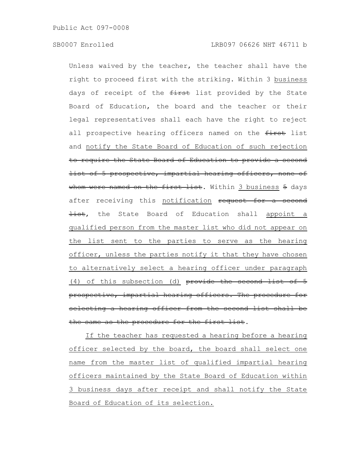Unless waived by the teacher, the teacher shall have the right to proceed first with the striking. Within 3 business days of receipt of the first list provided by the State Board of Education, the board and the teacher or their legal representatives shall each have the right to reject all prospective hearing officers named on the first list and notify the State Board of Education of such rejection to require the State Board of Education to provide a second list of 5 prospective, impartial hearing officers, none of whom were named on the first list. Within 3 business 5 days after receiving this notification request for a second Hist, the State Board of Education shall appoint a qualified person from the master list who did not appear on the list sent to the parties to serve as the hearing officer, unless the parties notify it that they have chosen to alternatively select a hearing officer under paragraph (4) of this subsection (d) provide the second list of 5 prospective, impartial hearing officers. The procedure selecting a hearing officer from the second list shall be the same as the procedure for the first list.

If the teacher has requested a hearing before a hearing officer selected by the board, the board shall select one name from the master list of qualified impartial hearing officers maintained by the State Board of Education within 3 business days after receipt and shall notify the State Board of Education of its selection.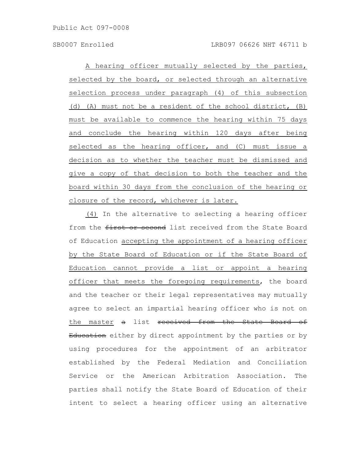A hearing officer mutually selected by the parties, selected by the board, or selected through an alternative selection process under paragraph (4) of this subsection (d) (A) must not be a resident of the school district, (B) must be available to commence the hearing within 75 days and conclude the hearing within 120 days after being selected as the hearing officer, and (C) must issue a decision as to whether the teacher must be dismissed and give a copy of that decision to both the teacher and the board within 30 days from the conclusion of the hearing or closure of the record, whichever is later.

(4) In the alternative to selecting a hearing officer from the first or second list received from the State Board of Education accepting the appointment of a hearing officer by the State Board of Education or if the State Board of Education cannot provide a list or appoint a hearing officer that meets the foregoing requirements, the board and the teacher or their legal representatives may mutually agree to select an impartial hearing officer who is not on the master a list received from the State Board of Education either by direct appointment by the parties or by using procedures for the appointment of an arbitrator established by the Federal Mediation and Conciliation Service or the American Arbitration Association. The parties shall notify the State Board of Education of their intent to select a hearing officer using an alternative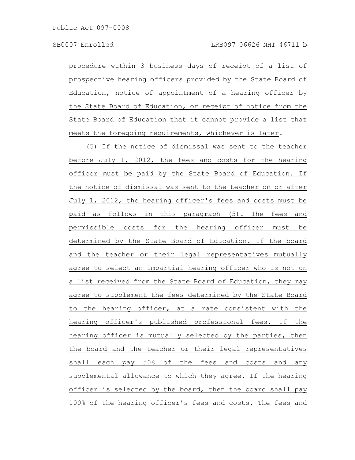procedure within 3 business days of receipt of a list of prospective hearing officers provided by the State Board of Education, notice of appointment of a hearing officer by the State Board of Education, or receipt of notice from the State Board of Education that it cannot provide a list that meets the foregoing requirements, whichever is later.

(5) If the notice of dismissal was sent to the teacher before July 1, 2012, the fees and costs for the hearing officer must be paid by the State Board of Education. If the notice of dismissal was sent to the teacher on or after July 1, 2012, the hearing officer's fees and costs must be paid as follows in this paragraph (5). The fees and permissible costs for the hearing officer must be determined by the State Board of Education. If the board and the teacher or their legal representatives mutually agree to select an impartial hearing officer who is not on a list received from the State Board of Education, they may agree to supplement the fees determined by the State Board to the hearing officer, at a rate consistent with the hearing officer's published professional fees. If the hearing officer is mutually selected by the parties, then the board and the teacher or their legal representatives shall each pay 50% of the fees and costs and any supplemental allowance to which they agree. If the hearing officer is selected by the board, then the board shall pay 100% of the hearing officer's fees and costs. The fees and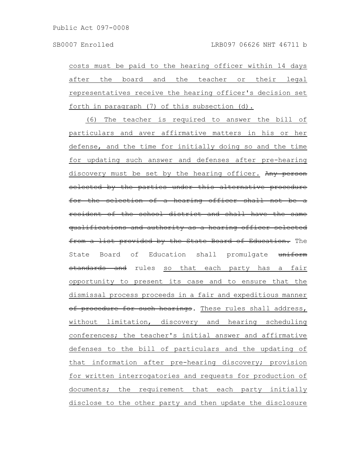costs must be paid to the hearing officer within 14 days after the board and the teacher or their legal representatives receive the hearing officer's decision set forth in paragraph (7) of this subsection (d).

(6) The teacher is required to answer the bill of particulars and aver affirmative matters in his or her defense, and the time for initially doing so and the time for updating such answer and defenses after pre-hearing discovery must be set by the hearing officer. Any person selected by the parties under this alternative procedure for the selection of a hearing officer shall not be a resident of the school district and shall have the same qualifications and authority as a hearing officer selected from a list provided by the State Board of Education. The State Board of Education shall promulgate uniform standards and rules so that each party has a fair opportunity to present its case and to ensure that the dismissal process proceeds in a fair and expeditious manner of procedure for such hearings. These rules shall address, without limitation, discovery and hearing scheduling conferences; the teacher's initial answer and affirmative defenses to the bill of particulars and the updating of that information after pre-hearing discovery; provision for written interrogatories and requests for production of documents; the requirement that each party initially disclose to the other party and then update the disclosure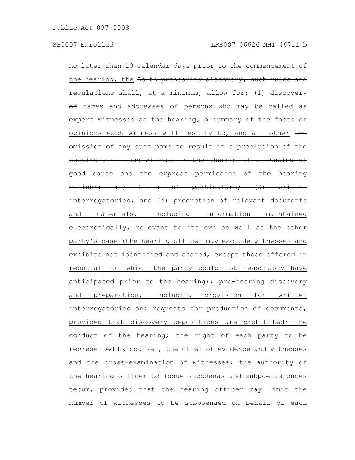no later than 10 calendar days prior to the commencement of the hearing, the As to prehearing discovery, such rules and regulations shall, at a minimum, allow for: (1) discovery  $\theta$  names and addresses of persons who may be called as expert witnesses at the hearing, a summary of the facts or opinions each witness will testify to, and all other the omission of any such name to result in a preclusion of the testimony of such witness in the absence of a showing of good cause and the express permission of the hearing officer; (2) bills of particulars; (3) written interrogatories; and (4) production of relevant documents and materials, including information maintained electronically, relevant to its own as well as the other party's case (the hearing officer may exclude witnesses and exhibits not identified and shared, except those offered in rebuttal for which the party could not reasonably have anticipated prior to the hearing); pre-hearing discovery and preparation, including provision for written interrogatories and requests for production of documents, provided that discovery depositions are prohibited; the conduct of the hearing; the right of each party to be represented by counsel, the offer of evidence and witnesses and the cross-examination of witnesses; the authority of the hearing officer to issue subpoenas and subpoenas duces tecum, provided that the hearing officer may limit the number of witnesses to be subpoenaed on behalf of each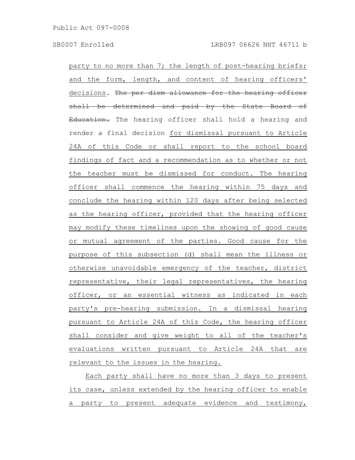party to no more than 7; the length of post-hearing briefs; and the form, length, and content of hearing officers' decisions. The per diem allowance for the hearing officer shall be determined and paid by the State Board of Education. The hearing officer shall hold a hearing and render a final decision for dismissal pursuant to Article 24A of this Code or shall report to the school board findings of fact and a recommendation as to whether or not the teacher must be dismissed for conduct. The hearing officer shall commence the hearing within 75 days and conclude the hearing within 120 days after being selected as the hearing officer, provided that the hearing officer may modify these timelines upon the showing of good cause or mutual agreement of the parties. Good cause for the purpose of this subsection (d) shall mean the illness or otherwise unavoidable emergency of the teacher, district representative, their legal representatives, the hearing officer, or an essential witness as indicated in each party's pre-hearing submission. In a dismissal hearing pursuant to Article 24A of this Code, the hearing officer shall consider and give weight to all of the teacher's evaluations written pursuant to Article 24A that are relevant to the issues in the hearing.

Each party shall have no more than 3 days to present its case, unless extended by the hearing officer to enable a party to present adequate evidence and testimony,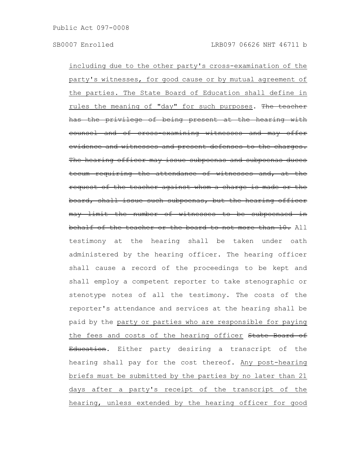including due to the other party's cross-examination of the party's witnesses, for good cause or by mutual agreement of the parties. The State Board of Education shall define in rules the meaning of "day" for such purposes. The teacher has the privilege of being present at the hearing with counsel and of cross-examining witnesses and may offer evidence and witnesses and present defenses to the charges. The hearing officer may issue subpoenas and subpoenas duces tecum requiring the attendance of witnesses and, at the request of the teacher against whom a charge is made or the board, shall issue such subpoenas, but the hearing officer may limit the number of witnesses to be subpoenaed chalf of the teacher or the board to not more than 10. All testimony at the hearing shall be taken under oath administered by the hearing officer. The hearing officer shall cause a record of the proceedings to be kept and shall employ a competent reporter to take stenographic or stenotype notes of all the testimony. The costs of the reporter's attendance and services at the hearing shall be paid by the party or parties who are responsible for paying the fees and costs of the hearing officer State Board of Education. Either party desiring a transcript of the hearing shall pay for the cost thereof. Any post-hearing briefs must be submitted by the parties by no later than 21 days after a party's receipt of the transcript of the hearing, unless extended by the hearing officer for good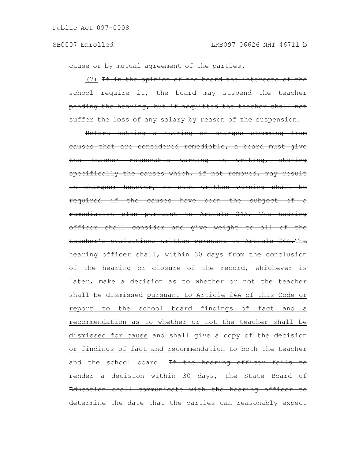cause or by mutual agreement of the parties.

(7) If in the opinion of the board the interests of the school require it, the board may suspend the teacher pending the hearing, but if acquitted the teacher shall suffer the loss of any salary by reason of the suspension.

Before setting a hearing on charges stemming from causes that are considered remediable, a board must give the teacher reasonable warning in writing, stating specifically the causes which, if not removed, may result in charges; however, no such written warning shall be required if the causes have been the subject remediation plan pursuant to Article 24A. The hearing officer shall consider and give weight to all of the teacher's evaluations written pursuant to Article 24A.The hearing officer shall, within 30 days from the conclusion of the hearing or closure of the record, whichever is later, make a decision as to whether or not the teacher shall be dismissed pursuant to Article 24A of this Code or report to the school board findings of fact and a recommendation as to whether or not the teacher shall be dismissed for cause and shall give a copy of the decision or findings of fact and recommendation to both the teacher and the school board. If the hearing officer fails render a decision within 30 days, the State Board of Education shall communicate with the hearing officer to determine the date that the parties can reasonably expect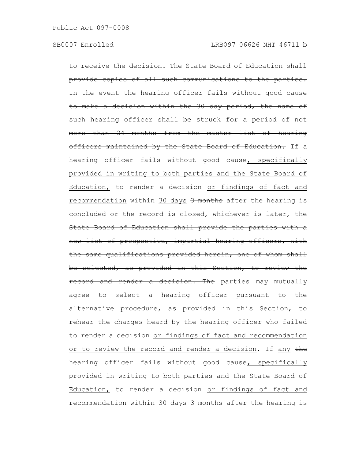to receive the decision. The State Board of Education shall provide copies of all such communications to the parties. the event the hearing officer fails without good cause make a decision within the 30 day period, the name of such hearing officer shall be struck for a period of not more than 24 months from the master list of hearing officers maintained by the State Board of Education. If a hearing officer fails without good cause, specifically provided in writing to both parties and the State Board of Education, to render a decision or findings of fact and recommendation within 30 days 3 months after the hearing is concluded or the record is closed, whichever is later, the State Board of Education shall provide the parties with a new list of prospective, impartial hearing officers, with the same qualifications provided herein, one of whom shall be selected, as provided in this Section, to review the record and render a decision. The parties may mutually agree to select a hearing officer pursuant to the alternative procedure, as provided in this Section, to rehear the charges heard by the hearing officer who failed to render a decision or findings of fact and recommendation or to review the record and render a decision. If any the hearing officer fails without good cause, specifically provided in writing to both parties and the State Board of Education, to render a decision or findings of fact and recommendation within 30 days 3 months after the hearing is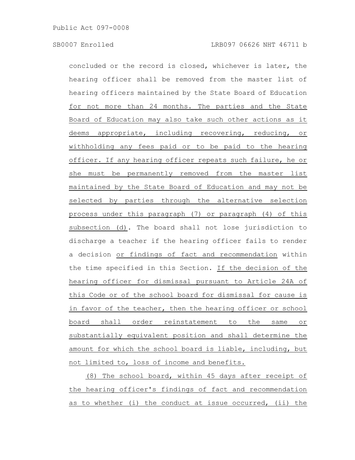concluded or the record is closed, whichever is later, the hearing officer shall be removed from the master list of hearing officers maintained by the State Board of Education for not more than 24 months. The parties and the State Board of Education may also take such other actions as it deems appropriate, including recovering, reducing, or withholding any fees paid or to be paid to the hearing officer. If any hearing officer repeats such failure, he or she must be permanently removed from the master list maintained by the State Board of Education and may not be selected by parties through the alternative selection process under this paragraph (7) or paragraph (4) of this subsection (d). The board shall not lose jurisdiction to discharge a teacher if the hearing officer fails to render a decision or findings of fact and recommendation within the time specified in this Section. If the decision of the hearing officer for dismissal pursuant to Article 24A of this Code or of the school board for dismissal for cause is in favor of the teacher, then the hearing officer or school board shall order reinstatement to the same or substantially equivalent position and shall determine the amount for which the school board is liable, including, but not limited to, loss of income and benefits.

(8) The school board, within 45 days after receipt of the hearing officer's findings of fact and recommendation as to whether (i) the conduct at issue occurred, (ii) the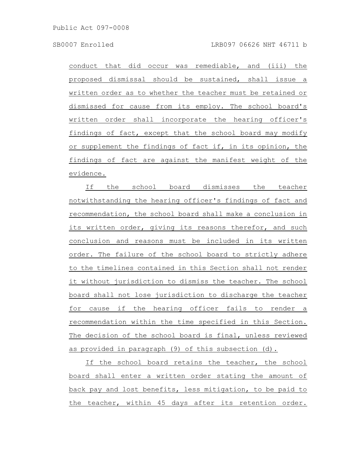conduct that did occur was remediable, and (iii) the proposed dismissal should be sustained, shall issue a written order as to whether the teacher must be retained or dismissed for cause from its employ. The school board's written order shall incorporate the hearing officer's findings of fact, except that the school board may modify or supplement the findings of fact if, in its opinion, the findings of fact are against the manifest weight of the evidence.

If the school board dismisses the teacher notwithstanding the hearing officer's findings of fact and recommendation, the school board shall make a conclusion in its written order, giving its reasons therefor, and such conclusion and reasons must be included in its written order. The failure of the school board to strictly adhere to the timelines contained in this Section shall not render it without jurisdiction to dismiss the teacher. The school board shall not lose jurisdiction to discharge the teacher for cause if the hearing officer fails to render a recommendation within the time specified in this Section. The decision of the school board is final, unless reviewed as provided in paragraph (9) of this subsection (d).

If the school board retains the teacher, the school board shall enter a written order stating the amount of back pay and lost benefits, less mitigation, to be paid to the teacher, within 45 days after its retention order.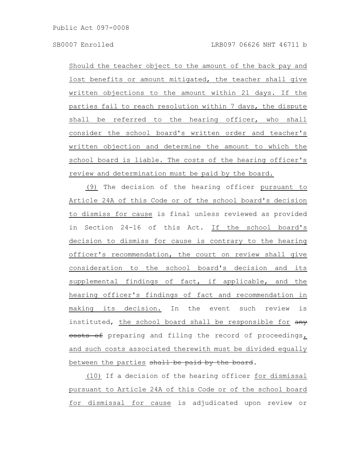Should the teacher object to the amount of the back pay and lost benefits or amount mitigated, the teacher shall give written objections to the amount within 21 days. If the parties fail to reach resolution within 7 days, the dispute shall be referred to the hearing officer, who shall consider the school board's written order and teacher's written objection and determine the amount to which the school board is liable. The costs of the hearing officer's review and determination must be paid by the board.

(9) The decision of the hearing officer pursuant to Article 24A of this Code or of the school board's decision to dismiss for cause is final unless reviewed as provided in Section 24-16 of this Act. If the school board's decision to dismiss for cause is contrary to the hearing officer's recommendation, the court on review shall give consideration to the school board's decision and its supplemental findings of fact, if applicable, and the hearing officer's findings of fact and recommendation in making its decision. In the event such review is instituted, the school board shall be responsible for any eosts of preparing and filing the record of proceedings, and such costs associated therewith must be divided equally between the parties shall be paid by the board.

(10) If a decision of the hearing officer for dismissal pursuant to Article 24A of this Code or of the school board for dismissal for cause is adjudicated upon review or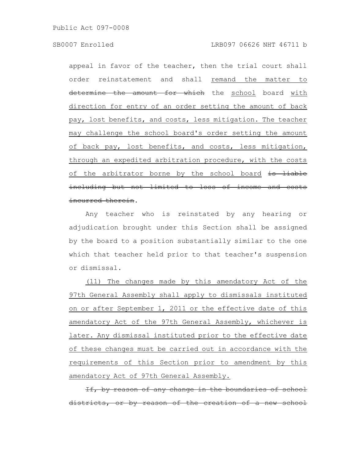appeal in favor of the teacher, then the trial court shall order reinstatement and shall remand the matter to determine the amount for which the school board with direction for entry of an order setting the amount of back pay, lost benefits, and costs, less mitigation. The teacher may challenge the school board's order setting the amount of back pay, lost benefits, and costs, less mitigation, through an expedited arbitration procedure, with the costs of the arbitrator borne by the school board is liable including but not limited to loss of income and costs incurred therein.

Any teacher who is reinstated by any hearing or adjudication brought under this Section shall be assigned by the board to a position substantially similar to the one which that teacher held prior to that teacher's suspension or dismissal.

(11) The changes made by this amendatory Act of the 97th General Assembly shall apply to dismissals instituted on or after September 1, 2011 or the effective date of this amendatory Act of the 97th General Assembly, whichever is later. Any dismissal instituted prior to the effective date of these changes must be carried out in accordance with the requirements of this Section prior to amendment by this amendatory Act of 97th General Assembly.

If, by reason of any change in the boundaries of school stricts, or by reason of the creation of a new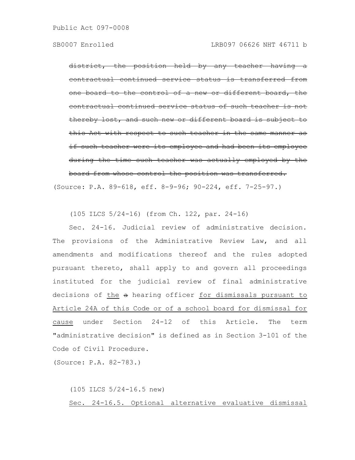district, the position held by any teacher contractual continued service status is transferred board to the control of a new or different board, ontractual continued service status of such thereby lost, and such new or different board is subject to this Act with respect to such teacher in the same manner if such teacher were its employee and had been its employee during the time such teacher was actually employed by board from whose control the position was transferred.

(Source: P.A. 89-618, eff. 8-9-96; 90-224, eff. 7-25-97.)

(105 ILCS 5/24-16) (from Ch. 122, par. 24-16)

Sec. 24-16. Judicial review of administrative decision. The provisions of the Administrative Review Law, and all amendments and modifications thereof and the rules adopted pursuant thereto, shall apply to and govern all proceedings instituted for the judicial review of final administrative decisions of the a hearing officer for dismissals pursuant to Article 24A of this Code or of a school board for dismissal for cause under Section 24-12 of this Article. The term "administrative decision" is defined as in Section 3-101 of the Code of Civil Procedure.

(Source: P.A. 82-783.)

(105 ILCS 5/24-16.5 new) Sec. 24-16.5. Optional alternative evaluative dismissal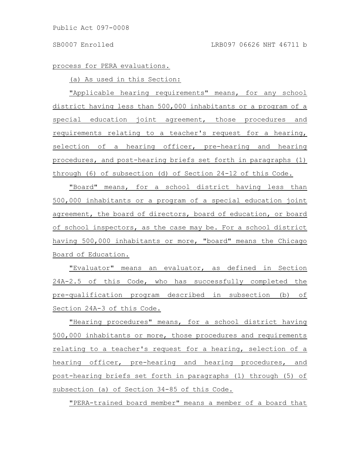# process for PERA evaluations.

### (a) As used in this Section:

"Applicable hearing requirements" means, for any school district having less than 500,000 inhabitants or a program of a special education joint agreement, those procedures and requirements relating to a teacher's request for a hearing, selection of a hearing officer, pre-hearing and hearing procedures, and post-hearing briefs set forth in paragraphs (1) through (6) of subsection (d) of Section 24-12 of this Code.

"Board" means, for a school district having less than 500,000 inhabitants or a program of a special education joint agreement, the board of directors, board of education, or board of school inspectors, as the case may be. For a school district having 500,000 inhabitants or more, "board" means the Chicago Board of Education.

"Evaluator" means an evaluator, as defined in Section 24A-2.5 of this Code, who has successfully completed the pre-qualification program described in subsection (b) of Section 24A-3 of this Code.

"Hearing procedures" means, for a school district having 500,000 inhabitants or more, those procedures and requirements relating to a teacher's request for a hearing, selection of a hearing officer, pre-hearing and hearing procedures, and post-hearing briefs set forth in paragraphs (1) through (5) of subsection (a) of Section 34-85 of this Code.

"PERA-trained board member" means a member of a board that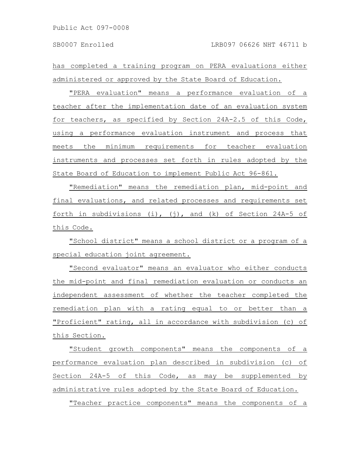has completed a training program on PERA evaluations either administered or approved by the State Board of Education.

"PERA evaluation" means a performance evaluation of a teacher after the implementation date of an evaluation system for teachers, as specified by Section 24A-2.5 of this Code, using a performance evaluation instrument and process that meets the minimum requirements for teacher evaluation instruments and processes set forth in rules adopted by the State Board of Education to implement Public Act 96-861.

"Remediation" means the remediation plan, mid-point and final evaluations, and related processes and requirements set forth in subdivisions (i), (j), and  $(k)$  of Section 24A-5 of this Code.

"School district" means a school district or a program of a special education joint agreement.

"Second evaluator" means an evaluator who either conducts the mid-point and final remediation evaluation or conducts an independent assessment of whether the teacher completed the remediation plan with a rating equal to or better than a "Proficient" rating, all in accordance with subdivision (c) of this Section.

"Student growth components" means the components of a performance evaluation plan described in subdivision (c) of Section 24A-5 of this Code, as may be supplemented by administrative rules adopted by the State Board of Education.

"Teacher practice components" means the components of a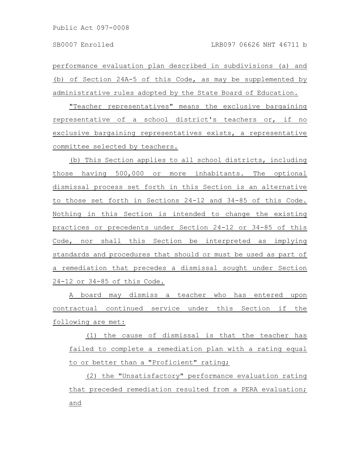performance evaluation plan described in subdivisions (a) and (b) of Section 24A-5 of this Code, as may be supplemented by administrative rules adopted by the State Board of Education.

"Teacher representatives" means the exclusive bargaining representative of a school district's teachers or, if no exclusive bargaining representatives exists, a representative committee selected by teachers.

(b) This Section applies to all school districts, including those having 500,000 or more inhabitants. The optional dismissal process set forth in this Section is an alternative to those set forth in Sections 24-12 and 34-85 of this Code. Nothing in this Section is intended to change the existing practices or precedents under Section 24-12 or 34-85 of this Code, nor shall this Section be interpreted as implying standards and procedures that should or must be used as part of a remediation that precedes a dismissal sought under Section 24-12 or 34-85 of this Code.

A board may dismiss a teacher who has entered upon contractual continued service under this Section if the following are met:

(1) the cause of dismissal is that the teacher has failed to complete a remediation plan with a rating equal to or better than a "Proficient" rating;

(2) the "Unsatisfactory" performance evaluation rating that preceded remediation resulted from a PERA evaluation; and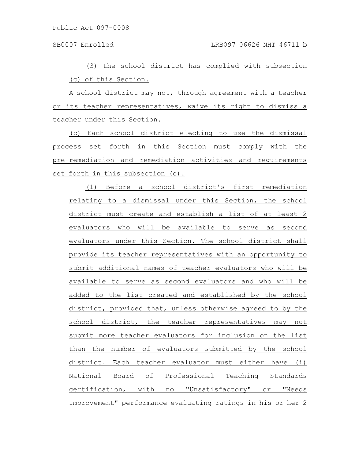Public Act 097-0008

(3) the school district has complied with subsection (c) of this Section.

A school district may not, through agreement with a teacher or its teacher representatives, waive its right to dismiss a teacher under this Section.

(c) Each school district electing to use the dismissal process set forth in this Section must comply with the pre-remediation and remediation activities and requirements set forth in this subsection (c).

(1) Before a school district's first remediation relating to a dismissal under this Section, the school district must create and establish a list of at least 2 evaluators who will be available to serve as second evaluators under this Section. The school district shall provide its teacher representatives with an opportunity to submit additional names of teacher evaluators who will be available to serve as second evaluators and who will be added to the list created and established by the school district, provided that, unless otherwise agreed to by the school district, the teacher representatives may not submit more teacher evaluators for inclusion on the list than the number of evaluators submitted by the school district. Each teacher evaluator must either have (i) National Board of Professional Teaching Standards certification, with no "Unsatisfactory" or "Needs Improvement" performance evaluating ratings in his or her 2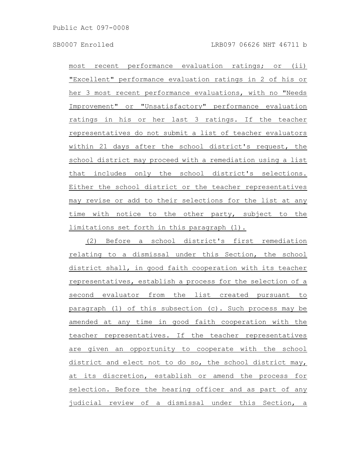most recent performance evaluation ratings; or (ii) "Excellent" performance evaluation ratings in 2 of his or her 3 most recent performance evaluations, with no "Needs Improvement" or "Unsatisfactory" performance evaluation ratings in his or her last 3 ratings. If the teacher representatives do not submit a list of teacher evaluators within 21 days after the school district's request, the school district may proceed with a remediation using a list that includes only the school district's selections. Either the school district or the teacher representatives may revise or add to their selections for the list at any time with notice to the other party, subject to the limitations set forth in this paragraph (1).

(2) Before a school district's first remediation relating to a dismissal under this Section, the school district shall, in good faith cooperation with its teacher representatives, establish a process for the selection of a second evaluator from the list created pursuant to paragraph (1) of this subsection (c). Such process may be amended at any time in good faith cooperation with the teacher representatives. If the teacher representatives are given an opportunity to cooperate with the school district and elect not to do so, the school district may, at its discretion, establish or amend the process for selection. Before the hearing officer and as part of any judicial review of a dismissal under this Section, a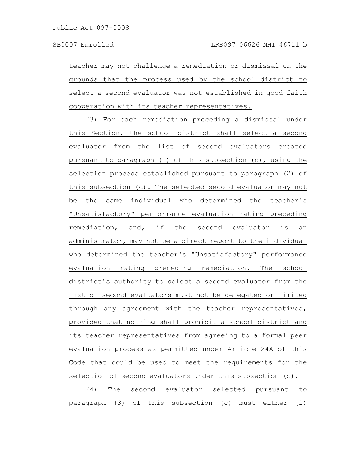teacher may not challenge a remediation or dismissal on the grounds that the process used by the school district to select a second evaluator was not established in good faith cooperation with its teacher representatives.

(3) For each remediation preceding a dismissal under this Section, the school district shall select a second evaluator from the list of second evaluators created pursuant to paragraph (1) of this subsection (c), using the selection process established pursuant to paragraph (2) of this subsection (c). The selected second evaluator may not be the same individual who determined the teacher's "Unsatisfactory" performance evaluation rating preceding remediation, and, if the second evaluator is an administrator, may not be a direct report to the individual who determined the teacher's "Unsatisfactory" performance evaluation rating preceding remediation. The school district's authority to select a second evaluator from the list of second evaluators must not be delegated or limited through any agreement with the teacher representatives, provided that nothing shall prohibit a school district and its teacher representatives from agreeing to a formal peer evaluation process as permitted under Article 24A of this Code that could be used to meet the requirements for the selection of second evaluators under this subsection (c).

(4) The second evaluator selected pursuant to paragraph (3) of this subsection (c) must either (i)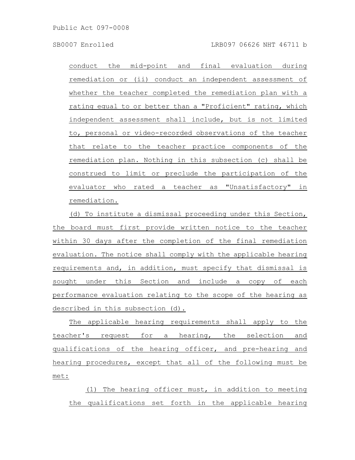conduct the mid-point and final evaluation during remediation or (ii) conduct an independent assessment of whether the teacher completed the remediation plan with a rating equal to or better than a "Proficient" rating, which independent assessment shall include, but is not limited to, personal or video-recorded observations of the teacher that relate to the teacher practice components of the remediation plan. Nothing in this subsection (c) shall be construed to limit or preclude the participation of the evaluator who rated a teacher as "Unsatisfactory" in remediation.

(d) To institute a dismissal proceeding under this Section, the board must first provide written notice to the teacher within 30 days after the completion of the final remediation evaluation. The notice shall comply with the applicable hearing requirements and, in addition, must specify that dismissal is sought under this Section and include a copy of each performance evaluation relating to the scope of the hearing as described in this subsection (d).

The applicable hearing requirements shall apply to the teacher's request for a hearing, the selection and qualifications of the hearing officer, and pre-hearing and hearing procedures, except that all of the following must be met:

(1) The hearing officer must, in addition to meeting the qualifications set forth in the applicable hearing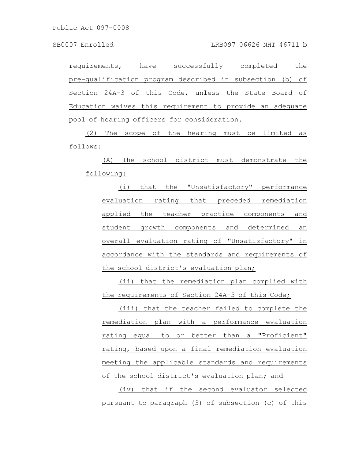Public Act 097-0008

requirements, have successfully completed the pre-qualification program described in subsection (b) of Section 24A-3 of this Code, unless the State Board of Education waives this requirement to provide an adequate pool of hearing officers for consideration.

(2) The scope of the hearing must be limited as follows:

(A) The school district must demonstrate the following:

(i) that the "Unsatisfactory" performance evaluation rating that preceded remediation applied the teacher practice components and student growth components and determined an overall evaluation rating of "Unsatisfactory" in accordance with the standards and requirements of the school district's evaluation plan;

(ii) that the remediation plan complied with the requirements of Section 24A-5 of this Code;

(iii) that the teacher failed to complete the remediation plan with a performance evaluation rating equal to or better than a "Proficient" rating, based upon a final remediation evaluation meeting the applicable standards and requirements of the school district's evaluation plan; and

(iv) that if the second evaluator selected pursuant to paragraph (3) of subsection (c) of this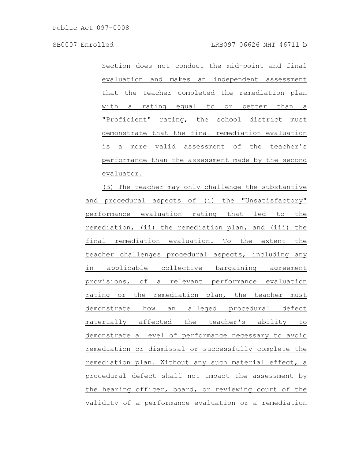SB0007 Enrolled LRB097 06626 NHT 46711 b

Section does not conduct the mid-point and final evaluation and makes an independent assessment that the teacher completed the remediation plan with a rating equal to or better than a "Proficient" rating, the school district must demonstrate that the final remediation evaluation is a more valid assessment of the teacher's performance than the assessment made by the second evaluator.

(B) The teacher may only challenge the substantive and procedural aspects of (i) the "Unsatisfactory" performance evaluation rating that led to the remediation, (ii) the remediation plan, and (iii) the final remediation evaluation. To the extent the teacher challenges procedural aspects, including any in applicable collective bargaining agreement provisions, of a relevant performance evaluation rating or the remediation plan, the teacher must demonstrate how an alleged procedural defect materially affected the teacher's ability to demonstrate a level of performance necessary to avoid remediation or dismissal or successfully complete the remediation plan. Without any such material effect, a procedural defect shall not impact the assessment by the hearing officer, board, or reviewing court of the validity of a performance evaluation or a remediation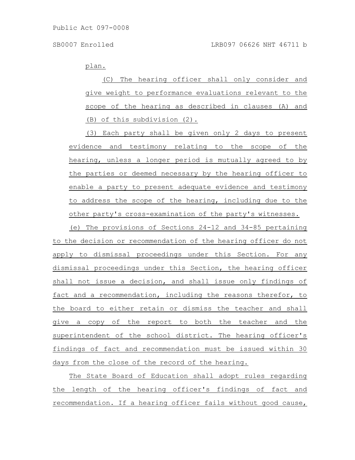plan.

(C) The hearing officer shall only consider and give weight to performance evaluations relevant to the scope of the hearing as described in clauses (A) and (B) of this subdivision (2).

(3) Each party shall be given only 2 days to present evidence and testimony relating to the scope of the hearing, unless a longer period is mutually agreed to by the parties or deemed necessary by the hearing officer to enable a party to present adequate evidence and testimony to address the scope of the hearing, including due to the other party's cross-examination of the party's witnesses.

(e) The provisions of Sections 24-12 and 34-85 pertaining to the decision or recommendation of the hearing officer do not apply to dismissal proceedings under this Section. For any dismissal proceedings under this Section, the hearing officer shall not issue a decision, and shall issue only findings of fact and a recommendation, including the reasons therefor, to the board to either retain or dismiss the teacher and shall give a copy of the report to both the teacher and the superintendent of the school district. The hearing officer's findings of fact and recommendation must be issued within 30 days from the close of the record of the hearing.

The State Board of Education shall adopt rules regarding the length of the hearing officer's findings of fact and recommendation. If a hearing officer fails without good cause,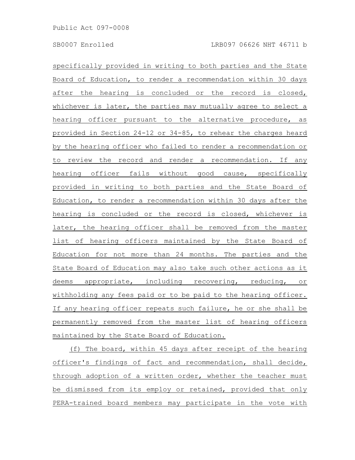specifically provided in writing to both parties and the State Board of Education, to render a recommendation within 30 days after the hearing is concluded or the record is closed, whichever is later, the parties may mutually agree to select a hearing officer pursuant to the alternative procedure, as provided in Section 24-12 or 34-85, to rehear the charges heard by the hearing officer who failed to render a recommendation or to review the record and render a recommendation. If any hearing officer fails without good cause, specifically provided in writing to both parties and the State Board of Education, to render a recommendation within 30 days after the hearing is concluded or the record is closed, whichever is later, the hearing officer shall be removed from the master list of hearing officers maintained by the State Board of Education for not more than 24 months. The parties and the State Board of Education may also take such other actions as it deems appropriate, including recovering, reducing, or withholding any fees paid or to be paid to the hearing officer. If any hearing officer repeats such failure, he or she shall be permanently removed from the master list of hearing officers maintained by the State Board of Education.

(f) The board, within 45 days after receipt of the hearing officer's findings of fact and recommendation, shall decide, through adoption of a written order, whether the teacher must be dismissed from its employ or retained, provided that only PERA-trained board members may participate in the vote with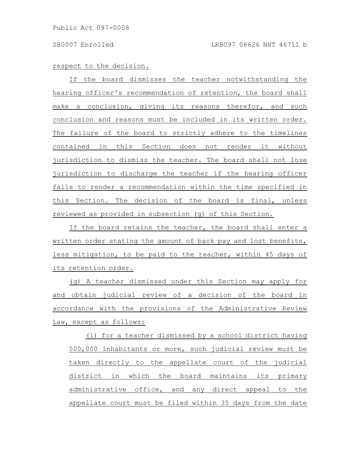# respect to the decision.

If the board dismisses the teacher notwithstanding the hearing officer's recommendation of retention, the board shall make a conclusion, giving its reasons therefor, and such conclusion and reasons must be included in its written order. The failure of the board to strictly adhere to the timelines contained in this Section does not render it without jurisdiction to dismiss the teacher. The board shall not lose jurisdiction to discharge the teacher if the hearing officer fails to render a recommendation within the time specified in this Section. The decision of the board is final, unless reviewed as provided in subsection (g) of this Section.

If the board retains the teacher, the board shall enter a written order stating the amount of back pay and lost benefits, less mitigation, to be paid to the teacher, within 45 days of its retention order.

(g) A teacher dismissed under this Section may apply for and obtain judicial review of a decision of the board in accordance with the provisions of the Administrative Review Law, except as follows:

(1) for a teacher dismissed by a school district having 500,000 inhabitants or more, such judicial review must be taken directly to the appellate court of the judicial district in which the board maintains its primary administrative office, and any direct appeal to the appellate court must be filed within 35 days from the date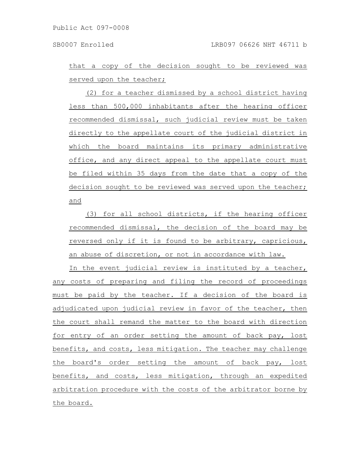that a copy of the decision sought to be reviewed was served upon the teacher;

(2) for a teacher dismissed by a school district having less than 500,000 inhabitants after the hearing officer recommended dismissal, such judicial review must be taken directly to the appellate court of the judicial district in which the board maintains its primary administrative office, and any direct appeal to the appellate court must be filed within 35 days from the date that a copy of the decision sought to be reviewed was served upon the teacher; and

(3) for all school districts, if the hearing officer recommended dismissal, the decision of the board may be reversed only if it is found to be arbitrary, capricious, an abuse of discretion, or not in accordance with law.

In the event judicial review is instituted by a teacher, any costs of preparing and filing the record of proceedings must be paid by the teacher. If a decision of the board is adjudicated upon judicial review in favor of the teacher, then the court shall remand the matter to the board with direction for entry of an order setting the amount of back pay, lost benefits, and costs, less mitigation. The teacher may challenge the board's order setting the amount of back pay, lost benefits, and costs, less mitigation, through an expedited arbitration procedure with the costs of the arbitrator borne by the board.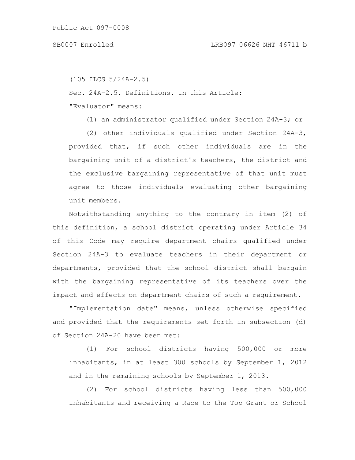# SB0007 Enrolled LRB097 06626 NHT 46711 b

```
(105 ILCS 5/24A-2.5)
```
Sec. 24A-2.5. Definitions. In this Article:

"Evaluator" means:

(1) an administrator qualified under Section 24A-3; or

(2) other individuals qualified under Section 24A-3, provided that, if such other individuals are in the bargaining unit of a district's teachers, the district and the exclusive bargaining representative of that unit must agree to those individuals evaluating other bargaining unit members.

Notwithstanding anything to the contrary in item (2) of this definition, a school district operating under Article 34 of this Code may require department chairs qualified under Section 24A-3 to evaluate teachers in their department or departments, provided that the school district shall bargain with the bargaining representative of its teachers over the impact and effects on department chairs of such a requirement.

"Implementation date" means, unless otherwise specified and provided that the requirements set forth in subsection (d) of Section 24A-20 have been met:

(1) For school districts having 500,000 or more inhabitants, in at least 300 schools by September 1, 2012 and in the remaining schools by September 1, 2013.

(2) For school districts having less than 500,000 inhabitants and receiving a Race to the Top Grant or School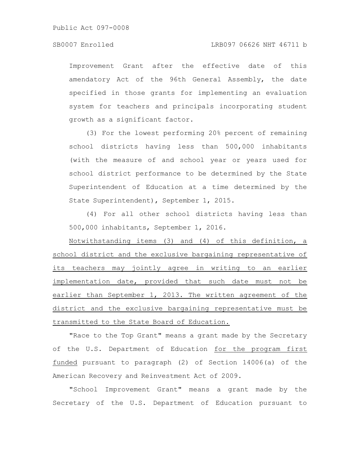Improvement Grant after the effective date of this amendatory Act of the 96th General Assembly, the date specified in those grants for implementing an evaluation system for teachers and principals incorporating student growth as a significant factor.

(3) For the lowest performing 20% percent of remaining school districts having less than 500,000 inhabitants (with the measure of and school year or years used for school district performance to be determined by the State Superintendent of Education at a time determined by the State Superintendent), September 1, 2015.

(4) For all other school districts having less than 500,000 inhabitants, September 1, 2016.

Notwithstanding items (3) and (4) of this definition, a school district and the exclusive bargaining representative of its teachers may jointly agree in writing to an earlier implementation date, provided that such date must not be earlier than September 1, 2013. The written agreement of the district and the exclusive bargaining representative must be transmitted to the State Board of Education.

"Race to the Top Grant" means a grant made by the Secretary of the U.S. Department of Education for the program first funded pursuant to paragraph (2) of Section 14006(a) of the American Recovery and Reinvestment Act of 2009.

"School Improvement Grant" means a grant made by the Secretary of the U.S. Department of Education pursuant to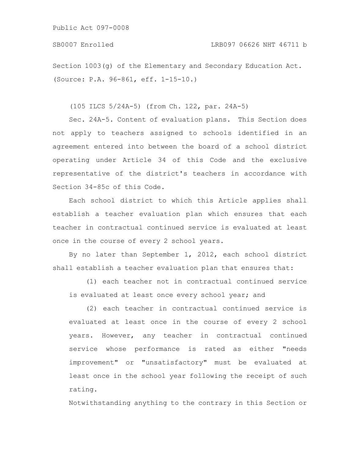Public Act 097-0008

Section 1003(g) of the Elementary and Secondary Education Act. (Source: P.A. 96-861, eff. 1-15-10.)

(105 ILCS 5/24A-5) (from Ch. 122, par. 24A-5)

Sec. 24A-5. Content of evaluation plans. This Section does not apply to teachers assigned to schools identified in an agreement entered into between the board of a school district operating under Article 34 of this Code and the exclusive representative of the district's teachers in accordance with Section 34-85c of this Code.

Each school district to which this Article applies shall establish a teacher evaluation plan which ensures that each teacher in contractual continued service is evaluated at least once in the course of every 2 school years.

By no later than September 1, 2012, each school district shall establish a teacher evaluation plan that ensures that:

(1) each teacher not in contractual continued service is evaluated at least once every school year; and

(2) each teacher in contractual continued service is evaluated at least once in the course of every 2 school years. However, any teacher in contractual continued service whose performance is rated as either "needs improvement" or "unsatisfactory" must be evaluated at least once in the school year following the receipt of such rating.

Notwithstanding anything to the contrary in this Section or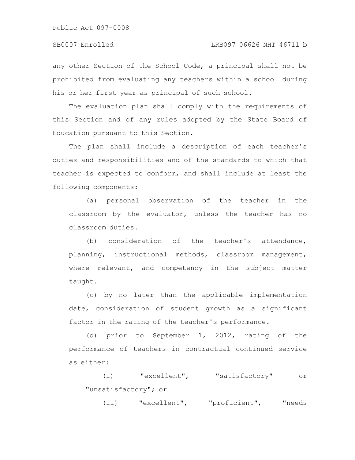Public Act 097-0008

any other Section of the School Code, a principal shall not be prohibited from evaluating any teachers within a school during his or her first year as principal of such school.

The evaluation plan shall comply with the requirements of this Section and of any rules adopted by the State Board of Education pursuant to this Section.

The plan shall include a description of each teacher's duties and responsibilities and of the standards to which that teacher is expected to conform, and shall include at least the following components:

(a) personal observation of the teacher in the classroom by the evaluator, unless the teacher has no classroom duties.

(b) consideration of the teacher's attendance, planning, instructional methods, classroom management, where relevant, and competency in the subject matter taught.

(c) by no later than the applicable implementation date, consideration of student growth as a significant factor in the rating of the teacher's performance.

(d) prior to September 1, 2012, rating of the performance of teachers in contractual continued service as either:

(i) "excellent", "satisfactory" or "unsatisfactory"; or

(ii) "excellent", "proficient", "needs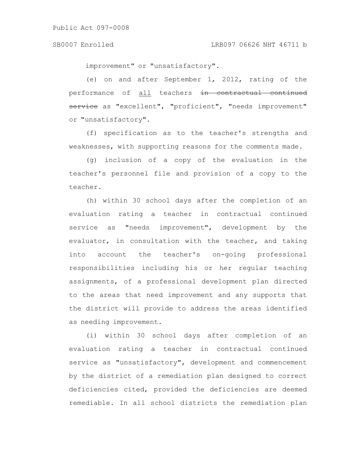improvement" or "unsatisfactory".

(e) on and after September 1, 2012, rating of the performance of all teachers in contractual continued service as "excellent", "proficient", "needs improvement" or "unsatisfactory".

(f) specification as to the teacher's strengths and weaknesses, with supporting reasons for the comments made.

(g) inclusion of a copy of the evaluation in the teacher's personnel file and provision of a copy to the teacher.

(h) within 30 school days after the completion of an evaluation rating a teacher in contractual continued service as "needs improvement", development by the evaluator, in consultation with the teacher, and taking into account the teacher's on-going professional responsibilities including his or her regular teaching assignments, of a professional development plan directed to the areas that need improvement and any supports that the district will provide to address the areas identified as needing improvement.

(i) within 30 school days after completion of an evaluation rating a teacher in contractual continued service as "unsatisfactory", development and commencement by the district of a remediation plan designed to correct deficiencies cited, provided the deficiencies are deemed remediable. In all school districts the remediation plan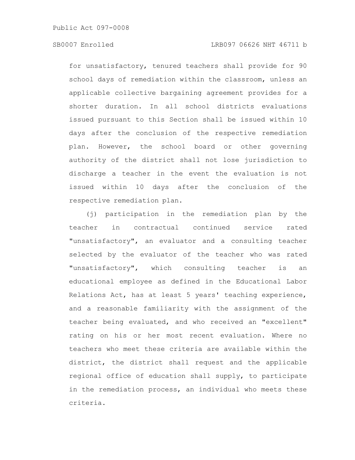# SB0007 Enrolled LRB097 06626 NHT 46711 b

for unsatisfactory, tenured teachers shall provide for 90 school days of remediation within the classroom, unless an applicable collective bargaining agreement provides for a shorter duration. In all school districts evaluations issued pursuant to this Section shall be issued within 10 days after the conclusion of the respective remediation plan. However, the school board or other governing authority of the district shall not lose jurisdiction to discharge a teacher in the event the evaluation is not issued within 10 days after the conclusion of the respective remediation plan.

(j) participation in the remediation plan by the teacher in contractual continued service rated "unsatisfactory", an evaluator and a consulting teacher selected by the evaluator of the teacher who was rated "unsatisfactory", which consulting teacher is an educational employee as defined in the Educational Labor Relations Act, has at least 5 years' teaching experience, and a reasonable familiarity with the assignment of the teacher being evaluated, and who received an "excellent" rating on his or her most recent evaluation. Where no teachers who meet these criteria are available within the district, the district shall request and the applicable regional office of education shall supply, to participate in the remediation process, an individual who meets these criteria.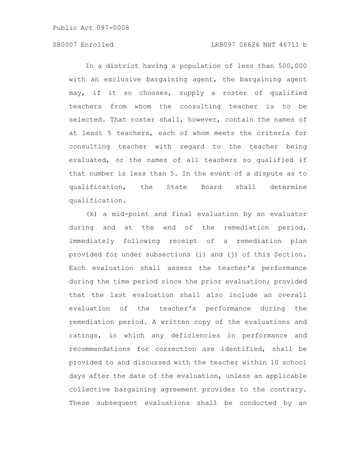# SB0007 Enrolled LRB097 06626 NHT 46711 b

In a district having a population of less than 500,000 with an exclusive bargaining agent, the bargaining agent may, if it so chooses, supply a roster of qualified teachers from whom the consulting teacher is to be selected. That roster shall, however, contain the names of at least 5 teachers, each of whom meets the criteria for consulting teacher with regard to the teacher being evaluated, or the names of all teachers so qualified if that number is less than 5. In the event of a dispute as to qualification, the State Board shall determine qualification.

(k) a mid-point and final evaluation by an evaluator during and at the end of the remediation period, immediately following receipt of a remediation plan provided for under subsections (i) and (j) of this Section. Each evaluation shall assess the teacher's performance during the time period since the prior evaluation; provided that the last evaluation shall also include an overall evaluation of the teacher's performance during the remediation period. A written copy of the evaluations and ratings, in which any deficiencies in performance and recommendations for correction are identified, shall be provided to and discussed with the teacher within 10 school days after the date of the evaluation, unless an applicable collective bargaining agreement provides to the contrary. These subsequent evaluations shall be conducted by an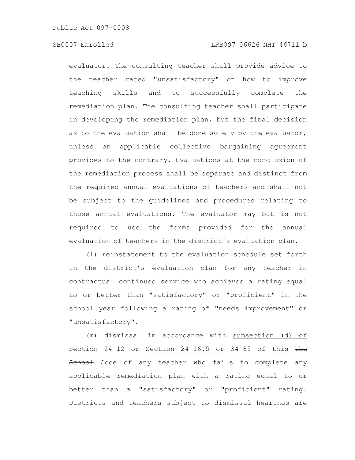evaluator. The consulting teacher shall provide advice to the teacher rated "unsatisfactory" on how to improve teaching skills and to successfully complete the remediation plan. The consulting teacher shall participate in developing the remediation plan, but the final decision as to the evaluation shall be done solely by the evaluator, unless an applicable collective bargaining agreement provides to the contrary. Evaluations at the conclusion of the remediation process shall be separate and distinct from the required annual evaluations of teachers and shall not be subject to the guidelines and procedures relating to those annual evaluations. The evaluator may but is not required to use the forms provided for the annual evaluation of teachers in the district's evaluation plan.

(l) reinstatement to the evaluation schedule set forth in the district's evaluation plan for any teacher in contractual continued service who achieves a rating equal to or better than "satisfactory" or "proficient" in the school year following a rating of "needs improvement" or "unsatisfactory".

(m) dismissal in accordance with subsection (d) of Section 24-12 or Section 24-16.5 or 34-85 of this the School Code of any teacher who fails to complete any applicable remediation plan with a rating equal to or better than a "satisfactory" or "proficient" rating. Districts and teachers subject to dismissal hearings are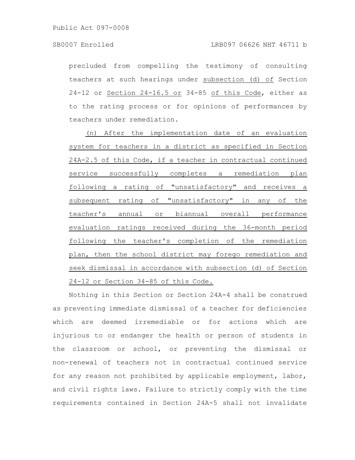precluded from compelling the testimony of consulting teachers at such hearings under subsection (d) of Section 24-12 or Section 24-16.5 or 34-85 of this Code, either as to the rating process or for opinions of performances by teachers under remediation.

(n) After the implementation date of an evaluation system for teachers in a district as specified in Section 24A-2.5 of this Code, if a teacher in contractual continued service successfully completes a remediation plan following a rating of "unsatisfactory" and receives a subsequent rating of "unsatisfactory" in any of the teacher's annual or biannual overall performance evaluation ratings received during the 36-month period following the teacher's completion of the remediation plan, then the school district may forego remediation and seek dismissal in accordance with subsection (d) of Section 24-12 or Section 34-85 of this Code.

Nothing in this Section or Section 24A-4 shall be construed as preventing immediate dismissal of a teacher for deficiencies which are deemed irremediable or for actions which are injurious to or endanger the health or person of students in the classroom or school, or preventing the dismissal or non-renewal of teachers not in contractual continued service for any reason not prohibited by applicable employment, labor, and civil rights laws. Failure to strictly comply with the time requirements contained in Section 24A-5 shall not invalidate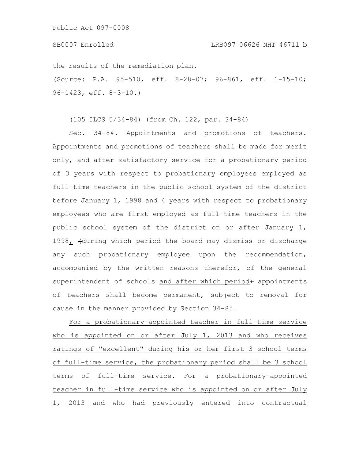#### SB0007 Enrolled LRB097 06626 NHT 46711 b

the results of the remediation plan.

(Source: P.A. 95-510, eff. 8-28-07; 96-861, eff. 1-15-10; 96-1423, eff. 8-3-10.)

(105 ILCS 5/34-84) (from Ch. 122, par. 34-84)

Sec. 34-84. Appointments and promotions of teachers. Appointments and promotions of teachers shall be made for merit only, and after satisfactory service for a probationary period of 3 years with respect to probationary employees employed as full-time teachers in the public school system of the district before January 1, 1998 and 4 years with respect to probationary employees who are first employed as full-time teachers in the public school system of the district on or after January 1, 1998, (during which period the board may dismiss or discharge any such probationary employee upon the recommendation, accompanied by the written reasons therefor, of the general superintendent of schools and after which period+ appointments of teachers shall become permanent, subject to removal for cause in the manner provided by Section 34-85.

For a probationary-appointed teacher in full-time service who is appointed on or after July 1, 2013 and who receives ratings of "excellent" during his or her first 3 school terms of full-time service, the probationary period shall be 3 school terms of full-time service. For a probationary-appointed teacher in full-time service who is appointed on or after July 1, 2013 and who had previously entered into contractual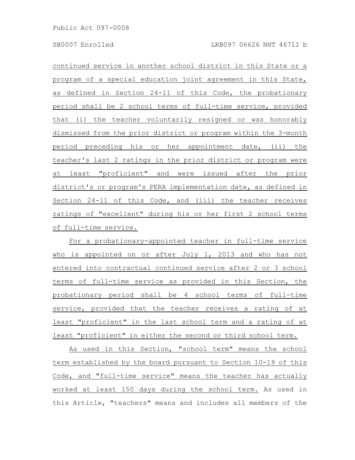continued service in another school district in this State or a program of a special education joint agreement in this State, as defined in Section 24-11 of this Code, the probationary period shall be 2 school terms of full-time service, provided that (i) the teacher voluntarily resigned or was honorably dismissed from the prior district or program within the 3-month period preceding his or her appointment date, (ii) the teacher's last 2 ratings in the prior district or program were at least "proficient" and were issued after the prior district's or program's PERA implementation date, as defined in Section 24-11 of this Code, and (iii) the teacher receives ratings of "excellent" during his or her first 2 school terms of full-time service.

For a probationary-appointed teacher in full-time service who is appointed on or after July 1, 2013 and who has not entered into contractual continued service after 2 or 3 school terms of full-time service as provided in this Section, the probationary period shall be 4 school terms of full-time service, provided that the teacher receives a rating of at least "proficient" in the last school term and a rating of at least "proficient" in either the second or third school term.

As used in this Section, "school term" means the school term established by the board pursuant to Section 10-19 of this Code, and "full-time service" means the teacher has actually worked at least 150 days during the school term. As used in this Article, "teachers" means and includes all members of the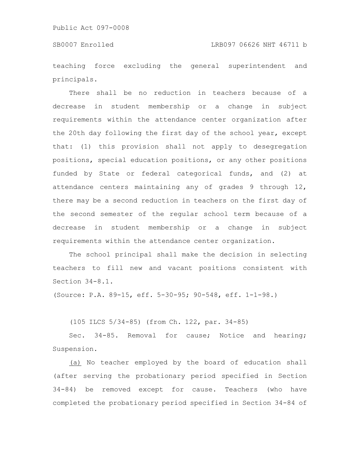teaching force excluding the general superintendent and principals.

There shall be no reduction in teachers because of a decrease in student membership or a change in subject requirements within the attendance center organization after the 20th day following the first day of the school year, except that: (1) this provision shall not apply to desegregation positions, special education positions, or any other positions funded by State or federal categorical funds, and (2) at attendance centers maintaining any of grades 9 through 12, there may be a second reduction in teachers on the first day of the second semester of the regular school term because of a decrease in student membership or a change in subject requirements within the attendance center organization.

The school principal shall make the decision in selecting teachers to fill new and vacant positions consistent with Section 34-8.1.

(Source: P.A. 89-15, eff. 5-30-95; 90-548, eff. 1-1-98.)

(105 ILCS 5/34-85) (from Ch. 122, par. 34-85)

Sec. 34-85. Removal for cause; Notice and hearing; Suspension.

(a) No teacher employed by the board of education shall (after serving the probationary period specified in Section 34-84) be removed except for cause. Teachers (who have completed the probationary period specified in Section 34-84 of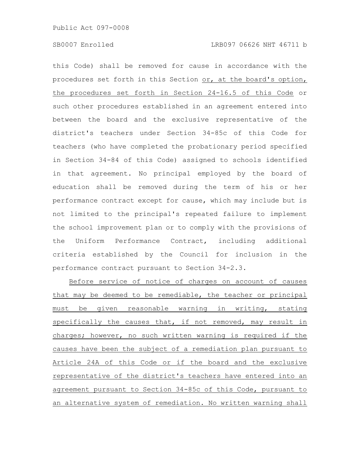this Code) shall be removed for cause in accordance with the procedures set forth in this Section or, at the board's option, the procedures set forth in Section 24-16.5 of this Code or such other procedures established in an agreement entered into between the board and the exclusive representative of the district's teachers under Section 34-85c of this Code for teachers (who have completed the probationary period specified in Section 34-84 of this Code) assigned to schools identified in that agreement. No principal employed by the board of education shall be removed during the term of his or her performance contract except for cause, which may include but is not limited to the principal's repeated failure to implement the school improvement plan or to comply with the provisions of the Uniform Performance Contract, including additional criteria established by the Council for inclusion in the performance contract pursuant to Section 34-2.3.

Before service of notice of charges on account of causes that may be deemed to be remediable, the teacher or principal must be given reasonable warning in writing, stating specifically the causes that, if not removed, may result in charges; however, no such written warning is required if the causes have been the subject of a remediation plan pursuant to Article 24A of this Code or if the board and the exclusive representative of the district's teachers have entered into an agreement pursuant to Section 34-85c of this Code, pursuant to an alternative system of remediation. No written warning shall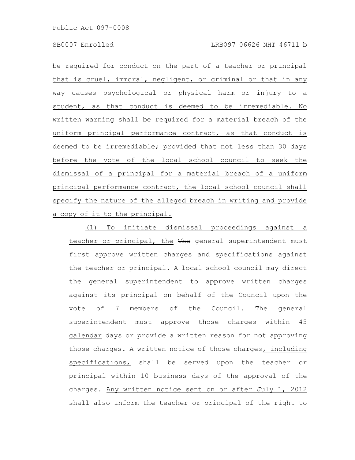be required for conduct on the part of a teacher or principal that is cruel, immoral, negligent, or criminal or that in any way causes psychological or physical harm or injury to a student, as that conduct is deemed to be irremediable. No written warning shall be required for a material breach of the uniform principal performance contract, as that conduct is deemed to be irremediable; provided that not less than 30 days before the vote of the local school council to seek the dismissal of a principal for a material breach of a uniform principal performance contract, the local school council shall specify the nature of the alleged breach in writing and provide a copy of it to the principal.

(1) To initiate dismissal proceedings against a teacher or principal, the The general superintendent must first approve written charges and specifications against the teacher or principal. A local school council may direct the general superintendent to approve written charges against its principal on behalf of the Council upon the vote of 7 members of the Council. The general superintendent must approve those charges within 45 calendar days or provide a written reason for not approving those charges. A written notice of those charges, including specifications, shall be served upon the teacher or principal within 10 business days of the approval of the charges. Any written notice sent on or after July 1, 2012 shall also inform the teacher or principal of the right to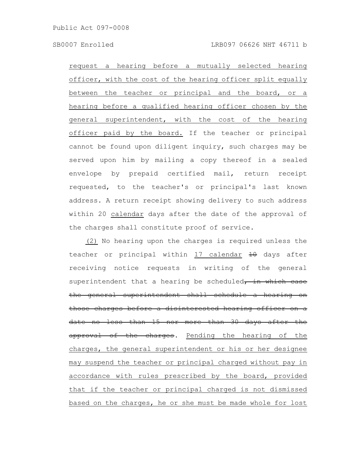request a hearing before a mutually selected hearing officer, with the cost of the hearing officer split equally between the teacher or principal and the board, or a hearing before a qualified hearing officer chosen by the general superintendent, with the cost of the hearing officer paid by the board. If the teacher or principal cannot be found upon diligent inquiry, such charges may be served upon him by mailing a copy thereof in a sealed envelope by prepaid certified mail, return receipt requested, to the teacher's or principal's last known address. A return receipt showing delivery to such address within 20 calendar days after the date of the approval of the charges shall constitute proof of service.

(2) No hearing upon the charges is required unless the teacher or principal within 17 calendar 40 days after receiving notice requests in writing of the general superintendent that a hearing be scheduled, in which case the general superintendent shall schedule a hearing on those charges before a disinterested hearing officer on a date no less than 15 nor more than 30 days after the approval of the charges. Pending the hearing of the charges, the general superintendent or his or her designee may suspend the teacher or principal charged without pay in accordance with rules prescribed by the board, provided that if the teacher or principal charged is not dismissed based on the charges, he or she must be made whole for lost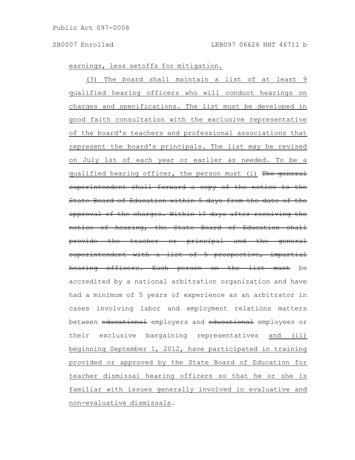earnings, less setoffs for mitigation.

(3) The board shall maintain a list of at least 9 qualified hearing officers who will conduct hearings on charges and specifications. The list must be developed in good faith consultation with the exclusive representative of the board's teachers and professional associations that represent the board's principals. The list may be revised on July 1st of each year or earlier as needed. To be a qualified hearing officer, the person must (i) The general superintendent shall forward a copy of the notice to the State Board of Education within 5 days from the date approval of the charges. Within 10 days after receiving the of hearing, the State Board of Education provide the teacher or principal and the general superintendent with a list of 5 prospective, impartial hearing officers. Each person on the list must be accredited by a national arbitration organization and have had a minimum of 5 years of experience as an arbitrator in cases involving labor and employment relations matters between educational employers and educational employees or their exclusive bargaining representatives and (ii) beginning September 1, 2012, have participated in training provided or approved by the State Board of Education for teacher dismissal hearing officers so that he or she is familiar with issues generally involved in evaluative and non-evaluative dismissals.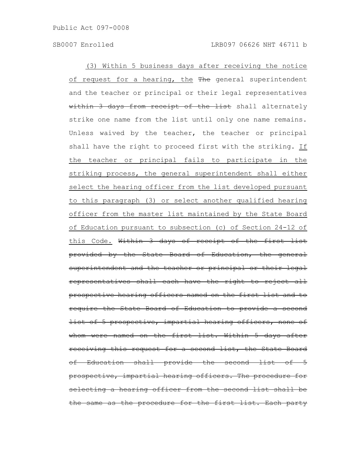(3) Within 5 business days after receiving the notice of request for a hearing, the The general superintendent and the teacher or principal or their legal representatives within 3 days from receipt of the list shall alternately strike one name from the list until only one name remains. Unless waived by the teacher, the teacher or principal shall have the right to proceed first with the striking. If the teacher or principal fails to participate in the striking process, the general superintendent shall either select the hearing officer from the list developed pursuant to this paragraph (3) or select another qualified hearing officer from the master list maintained by the State Board of Education pursuant to subsection (c) of Section 24-12 of this Code. Within 3 days of receipt of the first list provided by the State Board of Education, the general superintendent and the teacher or principal or their legal representatives shall each have the right to reject all prospective hearing officers named on the first list and to require the State Board of Education to provide a second list of 5 prospective, impartial hearing officers, none of whom were named on the first list. Within 5 days after receiving this request for a second list, the State Board Education shall provide the second list of prospective, impartial hearing officers. The procedure selecting a hearing officer from the second list shall the same as the procedure for the first list. Each party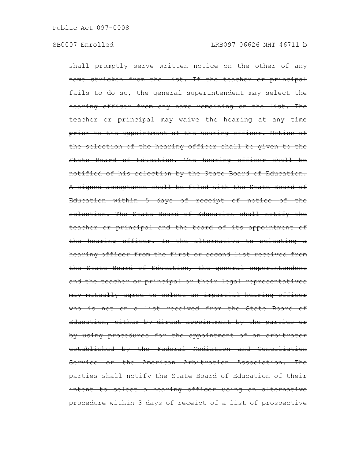shall promptly serve written notice on the other of any name stricken from the list. If the teacher or principal fails to do so, the general superintendent may select the hearing officer from any name remaining on the list. The teacher or principal may waive the hearing at any time prior to the appointment of the hearing officer. Notice of the selection of the hearing officer shall be given to the State Board of Education. The hearing officer shall be notified of his selection by the State Board of Education. A signed acceptance shall be filed with the State Board of Education within 5 days of receipt of notice of the selection. The State Board of Education shall notify the teacher or principal and the board of its appointment of the hearing officer. In the alternative to selecting a hearing officer from the first or second list received from the State Board of Education, the general superintendent and the teacher or principal or their legal representatives may mutually agree to select an impartial hearing officer who is not on a list received from the State Board of Education, either by direct appointment by the parties or by using procedures for the appointment of an arbitrator established by the Federal Mediation and Conciliation Service or the American Arbitration Association. The parties shall notify the State Board of Education of their intent to select a hearing officer using an alternative procedure within 3 days of receipt of a list of prospective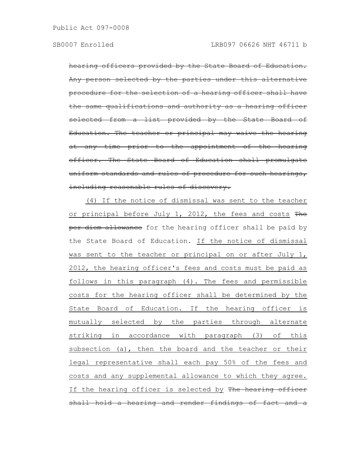hearing officers provided by the State Board of Education. Any person selected by the parties under this alternative procedure for the selection of a hearing officer shall have the same qualifications and authority as a hearing officer selected from a list provided by the State Board of Education. The teacher or principal may waive the hearing at any time prior to the appointment of the hearing officer. The State Board of Education shall promulgate uniform standards and rules of procedure for such hearings, including reasonable rules of discovery.

(4) If the notice of dismissal was sent to the teacher or principal before July 1, 2012, the fees and costs The per diem allowance for the hearing officer shall be paid by the State Board of Education. If the notice of dismissal was sent to the teacher or principal on or after July 1, 2012, the hearing officer's fees and costs must be paid as follows in this paragraph (4). The fees and permissible costs for the hearing officer shall be determined by the State Board of Education. If the hearing officer is mutually selected by the parties through alternate striking in accordance with paragraph (3) of this subsection (a), then the board and the teacher or their legal representative shall each pay 50% of the fees and costs and any supplemental allowance to which they agree. If the hearing officer is selected by The hearing officer shall hold a hearing and render findings of fact and a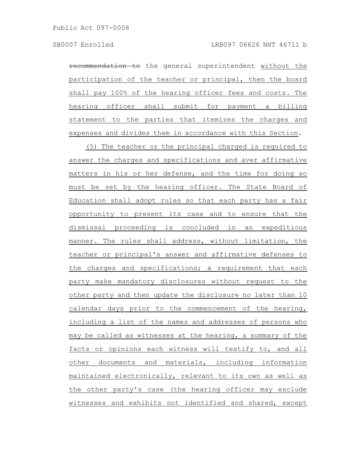recommendation to the general superintendent without the participation of the teacher or principal, then the board shall pay 100% of the hearing officer fees and costs. The hearing officer shall submit for payment a billing statement to the parties that itemizes the charges and expenses and divides them in accordance with this Section.

(5) The teacher or the principal charged is required to answer the charges and specifications and aver affirmative matters in his or her defense, and the time for doing so must be set by the hearing officer. The State Board of Education shall adopt rules so that each party has a fair opportunity to present its case and to ensure that the dismissal proceeding is concluded in an expeditious manner. The rules shall address, without limitation, the teacher or principal's answer and affirmative defenses to the charges and specifications; a requirement that each party make mandatory disclosures without request to the other party and then update the disclosure no later than 10 calendar days prior to the commencement of the hearing, including a list of the names and addresses of persons who may be called as witnesses at the hearing, a summary of the facts or opinions each witness will testify to, and all other documents and materials, including information maintained electronically, relevant to its own as well as the other party's case (the hearing officer may exclude witnesses and exhibits not identified and shared, except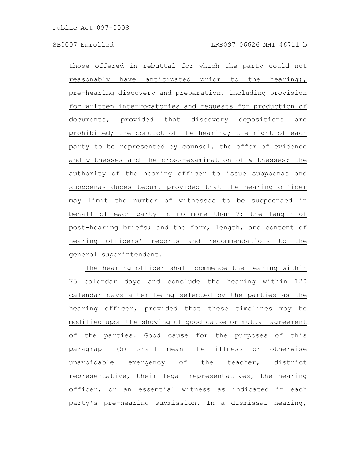those offered in rebuttal for which the party could not reasonably have anticipated prior to the hearing); pre-hearing discovery and preparation, including provision for written interrogatories and requests for production of documents, provided that discovery depositions are prohibited; the conduct of the hearing; the right of each party to be represented by counsel, the offer of evidence and witnesses and the cross-examination of witnesses; the authority of the hearing officer to issue subpoenas and subpoenas duces tecum, provided that the hearing officer may limit the number of witnesses to be subpoenaed in behalf of each party to no more than 7; the length of post-hearing briefs; and the form, length, and content of hearing officers' reports and recommendations to the general superintendent.

The hearing officer shall commence the hearing within 75 calendar days and conclude the hearing within 120 calendar days after being selected by the parties as the hearing officer, provided that these timelines may be modified upon the showing of good cause or mutual agreement of the parties. Good cause for the purposes of this paragraph (5) shall mean the illness or otherwise unavoidable emergency of the teacher, district representative, their legal representatives, the hearing officer, or an essential witness as indicated in each party's pre-hearing submission. In a dismissal hearing,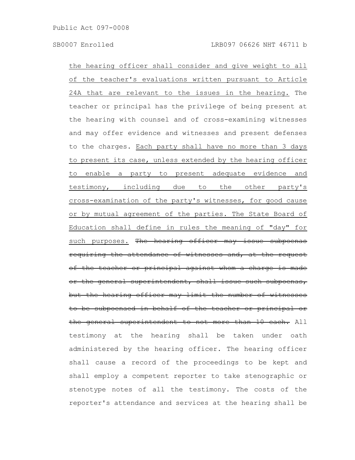the hearing officer shall consider and give weight to all of the teacher's evaluations written pursuant to Article 24A that are relevant to the issues in the hearing. The teacher or principal has the privilege of being present at the hearing with counsel and of cross-examining witnesses and may offer evidence and witnesses and present defenses to the charges. Each party shall have no more than 3 days to present its case, unless extended by the hearing officer to enable a party to present adequate evidence and testimony, including due to the other party's cross-examination of the party's witnesses, for good cause or by mutual agreement of the parties. The State Board of Education shall define in rules the meaning of "day" for such purposes. The hearing officer may issue subpoenas requiring the attendance of witnesses and, at the request of the teacher or principal against whom a charge or the general superintendent, shall issue such subpoenas, but the hearing officer may limit the number of witnesses to be subpoenaed in behalf of the teacher or principal or the general superintendent to not more than 10 each. All testimony at the hearing shall be taken under oath administered by the hearing officer. The hearing officer shall cause a record of the proceedings to be kept and shall employ a competent reporter to take stenographic or stenotype notes of all the testimony. The costs of the reporter's attendance and services at the hearing shall be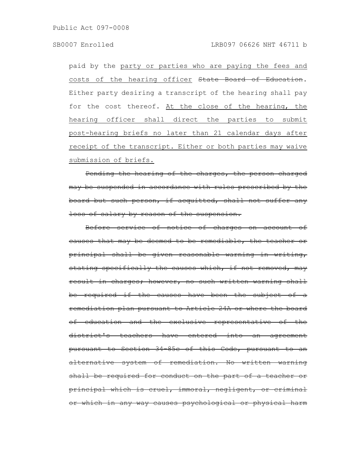paid by the party or parties who are paying the fees and costs of the hearing officer State Board of Education. Either party desiring a transcript of the hearing shall pay for the cost thereof. At the close of the hearing, the hearing officer shall direct the parties to submit post-hearing briefs no later than 21 calendar days after receipt of the transcript. Either or both parties may waive submission of briefs.

Pending the hearing of the charges, the person charged may be suspended in accordance with rules prescribed by the board but such person, if acquitted, shall not suffer any loss of salary by reason of the suspension.

Before service of notice of charges on account of causes that may be deemed to be remediable, the teacher or principal shall be given reasonable warning in writing, stating specifically the causes which, if not removed, may result in charges; however, no such written warning shall be required if the causes have been the subject of remediation plan pursuant to Article 24A or where the board of education and the exclusive representative of the district's teachers have entered into an agreement pursuant to Section 34-85c of this Code, pursuant to an alternative system of remediation. No written warning shall be required for conduct on the part of a teacher principal which is cruel, immoral, negligent, or criminal or which in any way causes psychological or physical harm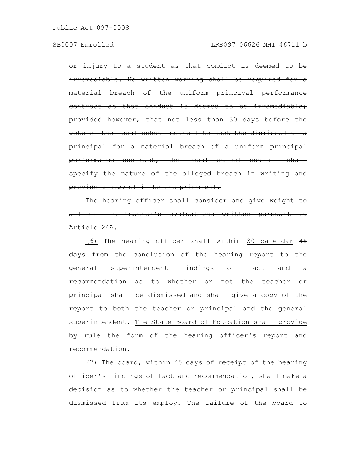injury to a student as that conduct is deemed rremediable. No written warning shall be required for. naterial breach of the uniform principal perfo as that conduct is deemed provided however, that not less than 30 days before the vote of the local school council to seek the dismissal principal for a material breach of a uniform principal performance contract, the local school council specify the nature of the alleged breach in writing and provide a copy of it to the principal.

The hearing officer shall consider and give of the teacher's evaluations written pursuant Article 24A.

(6) The hearing officer shall within 30 calendar 45 days from the conclusion of the hearing report to the general superintendent findings of fact and a recommendation as to whether or not the teacher or principal shall be dismissed and shall give a copy of the report to both the teacher or principal and the general superintendent. The State Board of Education shall provide by rule the form of the hearing officer's report and recommendation.

(7) The board, within 45 days of receipt of the hearing officer's findings of fact and recommendation, shall make a decision as to whether the teacher or principal shall be dismissed from its employ. The failure of the board to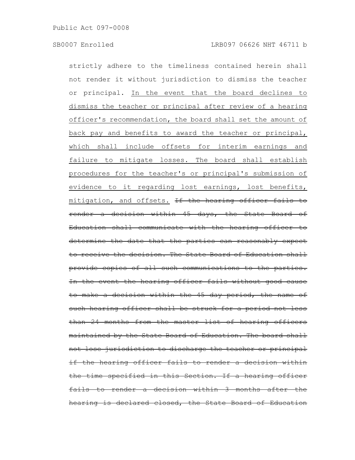strictly adhere to the timeliness contained herein shall not render it without jurisdiction to dismiss the teacher or principal. In the event that the board declines to dismiss the teacher or principal after review of a hearing officer's recommendation, the board shall set the amount of back pay and benefits to award the teacher or principal, which shall include offsets for interim earnings and failure to mitigate losses. The board shall establish procedures for the teacher's or principal's submission of evidence to it regarding lost earnings, lost benefits, mitigation, and offsets. If the hearing officer fails to render a decision within 45 days, the State Board of Education shall communicate with the hearing officer determine the date that the parties can reasonably expect receive the decision. The State Board of Education shall provide copies of all such communications to the parties. In the event the hearing officer fails without good cause to make a decision within the 45 day period, the name of such hearing officer shall be struck for a period not less than 24 months from the master list of hearing officers maintained by the State Board of Education. The board shall not lose jurisdiction to discharge the teacher or principal if the hearing officer fails to render a decision the time specified in this Section. If a hearing officer fails to render a decision within 3 months after hearing is declared closed, the State Board of Education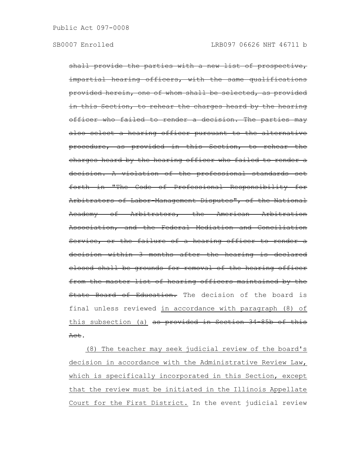shall provide the parties with a new list of prospective, impartial hearing officers, with the same qualifications provided herein, one of whom shall be selected, as provided In this Section, to rehear the charges heard by the hearing officer who failed to render a decision. The parties may also select a hearing officer pursuant to the alternative procedure, as provided in this Section, to rehear the charges heard by the hearing officer who failed to render a decision. A violation of the professional standards set forth in "The Code of Professional Responsibility for Arbitrators of Labor-Management Disputes", of the National Academy of Arbitrators, the American Arbitration Association, and the Federal Mediation and Conciliation Service, or the failure of a hearing officer to render a decision within 3 months after the hearing is declared closed shall be grounds for removal of the hearing officer from the master list of hearing officers maintained by the State Board of Education. The decision of the board is final unless reviewed in accordance with paragraph (8) of this subsection (a) as provided in Section 34-85b of this Act.

(8) The teacher may seek judicial review of the board's decision in accordance with the Administrative Review Law, which is specifically incorporated in this Section, except that the review must be initiated in the Illinois Appellate Court for the First District. In the event judicial review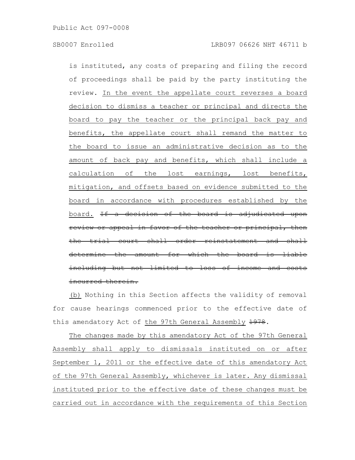is instituted, any costs of preparing and filing the record of proceedings shall be paid by the party instituting the review. In the event the appellate court reverses a board decision to dismiss a teacher or principal and directs the board to pay the teacher or the principal back pay and benefits, the appellate court shall remand the matter to the board to issue an administrative decision as to the amount of back pay and benefits, which shall include a calculation of the lost earnings, lost benefits, mitigation, and offsets based on evidence submitted to the board in accordance with procedures established by the board. If a decision of the board is adjudicated upon or appeal in favor of the teacher or principal the trial court shall order reinstatement ermine the amount for which the board: including but not limited to loss of income and incurred therein.

(b) Nothing in this Section affects the validity of removal for cause hearings commenced prior to the effective date of this amendatory Act of the 97th General Assembly 1978.

The changes made by this amendatory Act of the 97th General Assembly shall apply to dismissals instituted on or after September 1, 2011 or the effective date of this amendatory Act of the 97th General Assembly, whichever is later. Any dismissal instituted prior to the effective date of these changes must be carried out in accordance with the requirements of this Section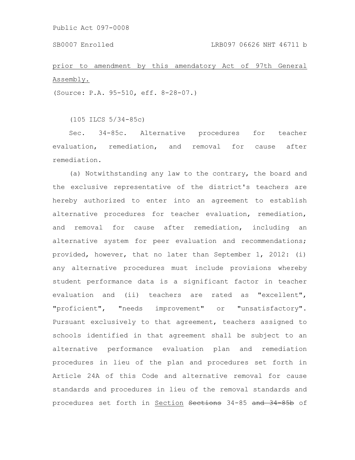prior to amendment by this amendatory Act of 97th General Assembly.

(Source: P.A. 95-510, eff. 8-28-07.)

(105 ILCS 5/34-85c)

Sec. 34-85c. Alternative procedures for teacher evaluation, remediation, and removal for cause after remediation.

(a) Notwithstanding any law to the contrary, the board and the exclusive representative of the district's teachers are hereby authorized to enter into an agreement to establish alternative procedures for teacher evaluation, remediation, and removal for cause after remediation, including an alternative system for peer evaluation and recommendations; provided, however, that no later than September 1, 2012: (i) any alternative procedures must include provisions whereby student performance data is a significant factor in teacher evaluation and (ii) teachers are rated as "excellent", "proficient", "needs improvement" or "unsatisfactory". Pursuant exclusively to that agreement, teachers assigned to schools identified in that agreement shall be subject to an alternative performance evaluation plan and remediation procedures in lieu of the plan and procedures set forth in Article 24A of this Code and alternative removal for cause standards and procedures in lieu of the removal standards and procedures set forth in Section Sections 34-85 and 34 85b of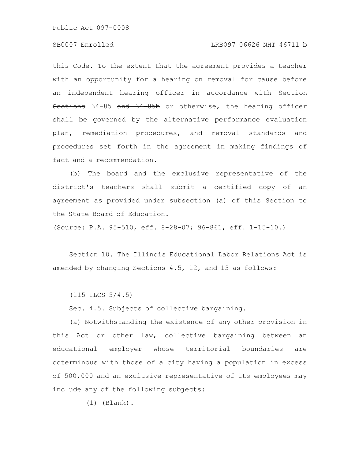# SB0007 Enrolled LRB097 06626 NHT 46711 b

this Code. To the extent that the agreement provides a teacher with an opportunity for a hearing on removal for cause before an independent hearing officer in accordance with Section Sections 34-85 and 34-85b or otherwise, the hearing officer shall be governed by the alternative performance evaluation plan, remediation procedures, and removal standards and procedures set forth in the agreement in making findings of fact and a recommendation.

(b) The board and the exclusive representative of the district's teachers shall submit a certified copy of an agreement as provided under subsection (a) of this Section to the State Board of Education.

(Source: P.A. 95-510, eff. 8-28-07; 96-861, eff. 1-15-10.)

Section 10. The Illinois Educational Labor Relations Act is amended by changing Sections 4.5, 12, and 13 as follows:

(115 ILCS 5/4.5)

Sec. 4.5. Subjects of collective bargaining.

(a) Notwithstanding the existence of any other provision in this Act or other law, collective bargaining between an educational employer whose territorial boundaries are coterminous with those of a city having a population in excess of 500,000 and an exclusive representative of its employees may include any of the following subjects:

(1) (Blank).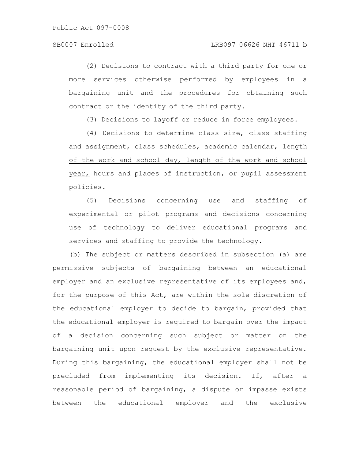(2) Decisions to contract with a third party for one or more services otherwise performed by employees in a bargaining unit and the procedures for obtaining such contract or the identity of the third party.

(3) Decisions to layoff or reduce in force employees.

(4) Decisions to determine class size, class staffing and assignment, class schedules, academic calendar, length of the work and school day, length of the work and school year, hours and places of instruction, or pupil assessment policies.

(5) Decisions concerning use and staffing of experimental or pilot programs and decisions concerning use of technology to deliver educational programs and services and staffing to provide the technology.

(b) The subject or matters described in subsection (a) are permissive subjects of bargaining between an educational employer and an exclusive representative of its employees and, for the purpose of this Act, are within the sole discretion of the educational employer to decide to bargain, provided that the educational employer is required to bargain over the impact of a decision concerning such subject or matter on the bargaining unit upon request by the exclusive representative. During this bargaining, the educational employer shall not be precluded from implementing its decision. If, after a reasonable period of bargaining, a dispute or impasse exists between the educational employer and the exclusive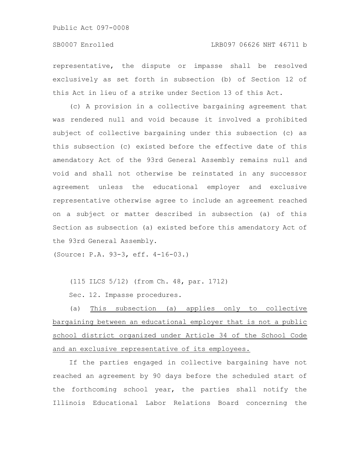representative, the dispute or impasse shall be resolved exclusively as set forth in subsection (b) of Section 12 of this Act in lieu of a strike under Section 13 of this Act.

(c) A provision in a collective bargaining agreement that was rendered null and void because it involved a prohibited subject of collective bargaining under this subsection (c) as this subsection (c) existed before the effective date of this amendatory Act of the 93rd General Assembly remains null and void and shall not otherwise be reinstated in any successor agreement unless the educational employer and exclusive representative otherwise agree to include an agreement reached on a subject or matter described in subsection (a) of this Section as subsection (a) existed before this amendatory Act of the 93rd General Assembly.

(Source: P.A. 93-3, eff. 4-16-03.)

(115 ILCS 5/12) (from Ch. 48, par. 1712)

Sec. 12. Impasse procedures.

(a) This subsection (a) applies only to collective bargaining between an educational employer that is not a public school district organized under Article 34 of the School Code and an exclusive representative of its employees.

If the parties engaged in collective bargaining have not reached an agreement by 90 days before the scheduled start of the forthcoming school year, the parties shall notify the Illinois Educational Labor Relations Board concerning the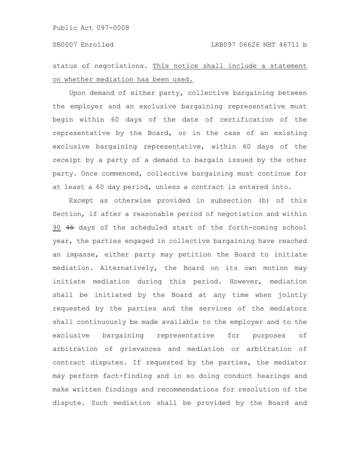status of negotiations. This notice shall include a statement on whether mediation has been used.

Upon demand of either party, collective bargaining between the employer and an exclusive bargaining representative must begin within 60 days of the date of certification of the representative by the Board, or in the case of an existing exclusive bargaining representative, within 60 days of the receipt by a party of a demand to bargain issued by the other party. Once commenced, collective bargaining must continue for at least a 60 day period, unless a contract is entered into.

Except as otherwise provided in subsection (b) of this Section, if after a reasonable period of negotiation and within 90 45 days of the scheduled start of the forth-coming school year, the parties engaged in collective bargaining have reached an impasse, either party may petition the Board to initiate mediation. Alternatively, the Board on its own motion may initiate mediation during this period. However, mediation shall be initiated by the Board at any time when jointly requested by the parties and the services of the mediators shall continuously be made available to the employer and to the exclusive bargaining representative for purposes of arbitration of grievances and mediation or arbitration of contract disputes. If requested by the parties, the mediator may perform fact-finding and in so doing conduct hearings and make written findings and recommendations for resolution of the dispute. Such mediation shall be provided by the Board and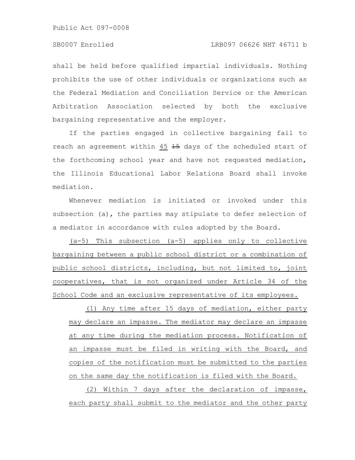shall be held before qualified impartial individuals. Nothing prohibits the use of other individuals or organizations such as the Federal Mediation and Conciliation Service or the American Arbitration Association selected by both the exclusive bargaining representative and the employer.

If the parties engaged in collective bargaining fail to reach an agreement within 45 15 days of the scheduled start of the forthcoming school year and have not requested mediation, the Illinois Educational Labor Relations Board shall invoke mediation.

Whenever mediation is initiated or invoked under this subsection (a), the parties may stipulate to defer selection of a mediator in accordance with rules adopted by the Board.

(a-5) This subsection (a-5) applies only to collective bargaining between a public school district or a combination of public school districts, including, but not limited to, joint cooperatives, that is not organized under Article 34 of the School Code and an exclusive representative of its employees.

(1) Any time after 15 days of mediation, either party may declare an impasse. The mediator may declare an impasse at any time during the mediation process. Notification of an impasse must be filed in writing with the Board, and copies of the notification must be submitted to the parties on the same day the notification is filed with the Board.

(2) Within 7 days after the declaration of impasse, each party shall submit to the mediator and the other party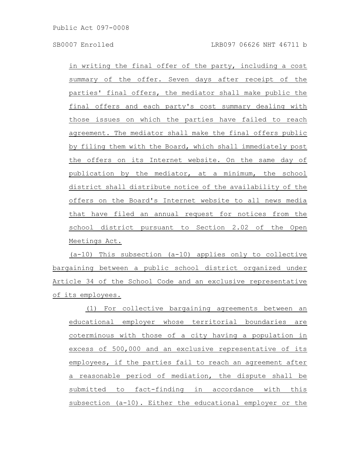in writing the final offer of the party, including a cost summary of the offer. Seven days after receipt of the parties' final offers, the mediator shall make public the final offers and each party's cost summary dealing with those issues on which the parties have failed to reach agreement. The mediator shall make the final offers public by filing them with the Board, which shall immediately post the offers on its Internet website. On the same day of publication by the mediator, at a minimum, the school district shall distribute notice of the availability of the offers on the Board's Internet website to all news media that have filed an annual request for notices from the school district pursuant to Section 2.02 of the Open Meetings Act.

(a-10) This subsection (a-10) applies only to collective bargaining between a public school district organized under Article 34 of the School Code and an exclusive representative of its employees.

(1) For collective bargaining agreements between an educational employer whose territorial boundaries are coterminous with those of a city having a population in excess of 500,000 and an exclusive representative of its employees, if the parties fail to reach an agreement after a reasonable period of mediation, the dispute shall be submitted to fact-finding in accordance with this subsection (a-10). Either the educational employer or the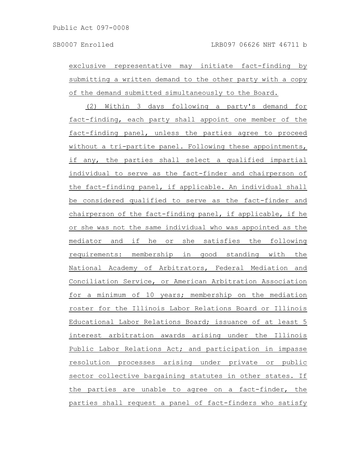exclusive representative may initiate fact-finding by submitting a written demand to the other party with a copy of the demand submitted simultaneously to the Board.

(2) Within 3 days following a party's demand for fact-finding, each party shall appoint one member of the fact-finding panel, unless the parties agree to proceed without a tri-partite panel. Following these appointments, if any, the parties shall select a qualified impartial individual to serve as the fact-finder and chairperson of the fact-finding panel, if applicable. An individual shall be considered qualified to serve as the fact-finder and chairperson of the fact-finding panel, if applicable, if he or she was not the same individual who was appointed as the mediator and if he or she satisfies the following requirements: membership in good standing with the National Academy of Arbitrators, Federal Mediation and Conciliation Service, or American Arbitration Association for a minimum of 10 years; membership on the mediation roster for the Illinois Labor Relations Board or Illinois Educational Labor Relations Board; issuance of at least 5 interest arbitration awards arising under the Illinois Public Labor Relations Act; and participation in impasse resolution processes arising under private or public sector collective bargaining statutes in other states. If the parties are unable to agree on a fact-finder, the parties shall request a panel of fact-finders who satisfy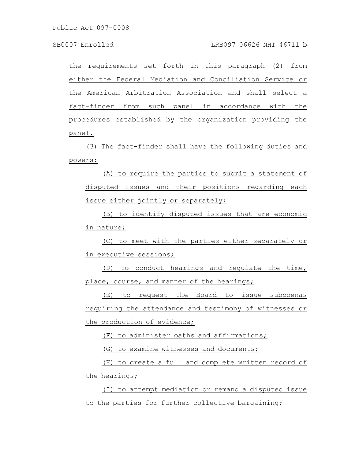the requirements set forth in this paragraph (2) from either the Federal Mediation and Conciliation Service or the American Arbitration Association and shall select a fact-finder from such panel in accordance with the procedures established by the organization providing the panel.

(3) The fact-finder shall have the following duties and powers:

(A) to require the parties to submit a statement of disputed issues and their positions regarding each issue either jointly or separately;

(B) to identify disputed issues that are economic in nature;

(C) to meet with the parties either separately or in executive sessions;

(D) to conduct hearings and regulate the time, place, course, and manner of the hearings;

(E) to request the Board to issue subpoenas requiring the attendance and testimony of witnesses or the production of evidence;

(F) to administer oaths and affirmations;

(G) to examine witnesses and documents;

(H) to create a full and complete written record of the hearings;

(I) to attempt mediation or remand a disputed issue to the parties for further collective bargaining;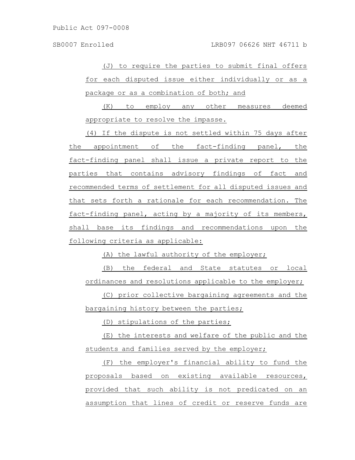(J) to require the parties to submit final offers for each disputed issue either individually or as a package or as a combination of both; and

(K) to employ any other measures deemed appropriate to resolve the impasse.

(4) If the dispute is not settled within 75 days after the appointment of the fact-finding panel, the fact-finding panel shall issue a private report to the parties that contains advisory findings of fact and recommended terms of settlement for all disputed issues and that sets forth a rationale for each recommendation. The fact-finding panel, acting by a majority of its members, shall base its findings and recommendations upon the following criteria as applicable:

(A) the lawful authority of the employer;

(B) the federal and State statutes or local ordinances and resolutions applicable to the employer;

(C) prior collective bargaining agreements and the bargaining history between the parties;

(D) stipulations of the parties;

(E) the interests and welfare of the public and the students and families served by the employer;

(F) the employer's financial ability to fund the proposals based on existing available resources, provided that such ability is not predicated on an assumption that lines of credit or reserve funds are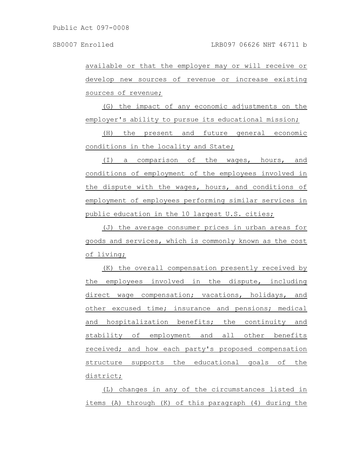available or that the employer may or will receive or develop new sources of revenue or increase existing sources of revenue;

(G) the impact of any economic adjustments on the employer's ability to pursue its educational mission;

(H) the present and future general economic conditions in the locality and State;

(I) a comparison of the wages, hours, and conditions of employment of the employees involved in the dispute with the wages, hours, and conditions of employment of employees performing similar services in public education in the 10 largest U.S. cities;

(J) the average consumer prices in urban areas for goods and services, which is commonly known as the cost of living;

(K) the overall compensation presently received by the employees involved in the dispute, including direct wage compensation; vacations, holidays, and other excused time; insurance and pensions; medical and hospitalization benefits; the continuity and stability of employment and all other benefits received; and how each party's proposed compensation structure supports the educational goals of the district;

(L) changes in any of the circumstances listed in items (A) through (K) of this paragraph (4) during the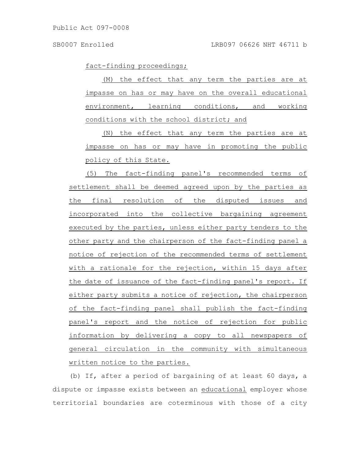fact-finding proceedings;

(M) the effect that any term the parties are at impasse on has or may have on the overall educational environment, learning conditions, and working conditions with the school district; and

(N) the effect that any term the parties are at impasse on has or may have in promoting the public policy of this State.

(5) The fact-finding panel's recommended terms of settlement shall be deemed agreed upon by the parties as the final resolution of the disputed issues and incorporated into the collective bargaining agreement executed by the parties, unless either party tenders to the other party and the chairperson of the fact-finding panel a notice of rejection of the recommended terms of settlement with a rationale for the rejection, within 15 days after the date of issuance of the fact-finding panel's report. If either party submits a notice of rejection, the chairperson of the fact-finding panel shall publish the fact-finding panel's report and the notice of rejection for public information by delivering a copy to all newspapers of general circulation in the community with simultaneous written notice to the parties.

(b) If, after a period of bargaining of at least 60 days, a dispute or impasse exists between an educational employer whose territorial boundaries are coterminous with those of a city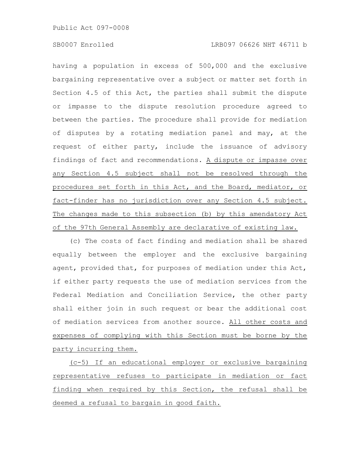# SB0007 Enrolled LRB097 06626 NHT 46711 b

having a population in excess of 500,000 and the exclusive bargaining representative over a subject or matter set forth in Section 4.5 of this Act, the parties shall submit the dispute or impasse to the dispute resolution procedure agreed to between the parties. The procedure shall provide for mediation of disputes by a rotating mediation panel and may, at the request of either party, include the issuance of advisory findings of fact and recommendations. A dispute or impasse over any Section 4.5 subject shall not be resolved through the procedures set forth in this Act, and the Board, mediator, or fact-finder has no jurisdiction over any Section 4.5 subject. The changes made to this subsection (b) by this amendatory Act of the 97th General Assembly are declarative of existing law.

(c) The costs of fact finding and mediation shall be shared equally between the employer and the exclusive bargaining agent, provided that, for purposes of mediation under this Act, if either party requests the use of mediation services from the Federal Mediation and Conciliation Service, the other party shall either join in such request or bear the additional cost of mediation services from another source. All other costs and expenses of complying with this Section must be borne by the party incurring them.

(c-5) If an educational employer or exclusive bargaining representative refuses to participate in mediation or fact finding when required by this Section, the refusal shall be deemed a refusal to bargain in good faith.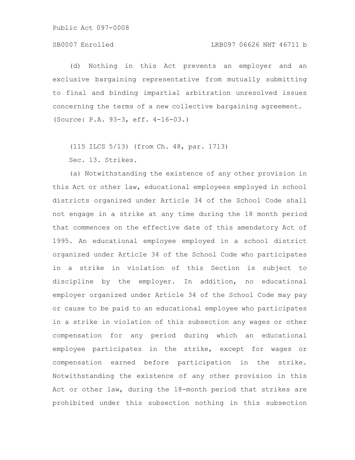## SB0007 Enrolled LRB097 06626 NHT 46711 b

(d) Nothing in this Act prevents an employer and an exclusive bargaining representative from mutually submitting to final and binding impartial arbitration unresolved issues concerning the terms of a new collective bargaining agreement. (Source: P.A. 93-3, eff. 4-16-03.)

(115 ILCS 5/13) (from Ch. 48, par. 1713) Sec. 13. Strikes.

(a) Notwithstanding the existence of any other provision in this Act or other law, educational employees employed in school districts organized under Article 34 of the School Code shall not engage in a strike at any time during the 18 month period that commences on the effective date of this amendatory Act of 1995. An educational employee employed in a school district organized under Article 34 of the School Code who participates in a strike in violation of this Section is subject to discipline by the employer. In addition, no educational employer organized under Article 34 of the School Code may pay or cause to be paid to an educational employee who participates in a strike in violation of this subsection any wages or other compensation for any period during which an educational employee participates in the strike, except for wages or compensation earned before participation in the strike. Notwithstanding the existence of any other provision in this Act or other law, during the 18-month period that strikes are prohibited under this subsection nothing in this subsection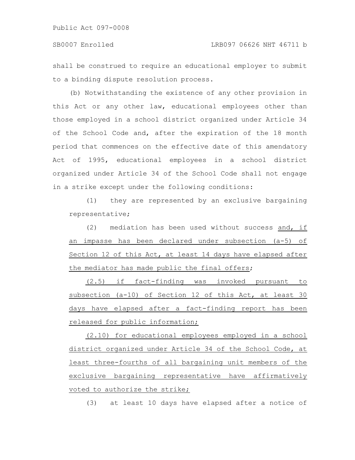shall be construed to require an educational employer to submit to a binding dispute resolution process.

(b) Notwithstanding the existence of any other provision in this Act or any other law, educational employees other than those employed in a school district organized under Article 34 of the School Code and, after the expiration of the 18 month period that commences on the effective date of this amendatory Act of 1995, educational employees in a school district organized under Article 34 of the School Code shall not engage in a strike except under the following conditions:

(1) they are represented by an exclusive bargaining representative;

(2) mediation has been used without success and, if an impasse has been declared under subsection (a-5) of Section 12 of this Act, at least 14 days have elapsed after the mediator has made public the final offers;

(2.5) if fact-finding was invoked pursuant to subsection (a-10) of Section 12 of this Act, at least 30 days have elapsed after a fact-finding report has been released for public information;

(2.10) for educational employees employed in a school district organized under Article 34 of the School Code, at least three-fourths of all bargaining unit members of the exclusive bargaining representative have affirmatively voted to authorize the strike;

(3) at least 10 days have elapsed after a notice of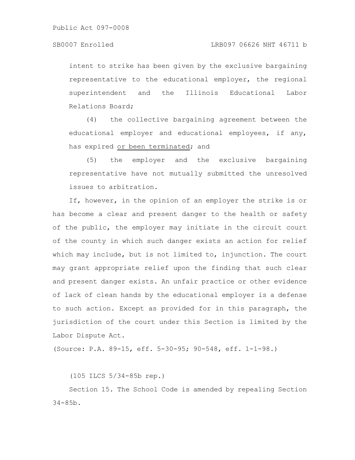intent to strike has been given by the exclusive bargaining representative to the educational employer, the regional superintendent and the Illinois Educational Labor Relations Board;

(4) the collective bargaining agreement between the educational employer and educational employees, if any, has expired or been terminated; and

(5) the employer and the exclusive bargaining representative have not mutually submitted the unresolved issues to arbitration.

If, however, in the opinion of an employer the strike is or has become a clear and present danger to the health or safety of the public, the employer may initiate in the circuit court of the county in which such danger exists an action for relief which may include, but is not limited to, injunction. The court may grant appropriate relief upon the finding that such clear and present danger exists. An unfair practice or other evidence of lack of clean hands by the educational employer is a defense to such action. Except as provided for in this paragraph, the jurisdiction of the court under this Section is limited by the Labor Dispute Act.

(Source: P.A. 89-15, eff. 5-30-95; 90-548, eff. 1-1-98.)

(105 ILCS 5/34-85b rep.)

Section 15. The School Code is amended by repealing Section 34-85b.